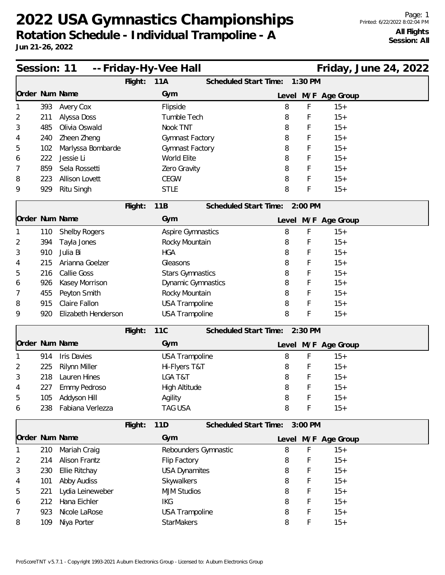| Session: 11    |                                                                                             |                       |         | -- Friday-Hy-Vee Hall   |                               |           |                     | Friday, June 24, 2022 |  |  |  |  |
|----------------|---------------------------------------------------------------------------------------------|-----------------------|---------|-------------------------|-------------------------------|-----------|---------------------|-----------------------|--|--|--|--|
|                | Flight:<br>11A<br>Scheduled Start Time:<br>1:30 PM<br>Order Num Name<br>Level M/F Age Group |                       |         |                         |                               |           |                     |                       |  |  |  |  |
|                |                                                                                             |                       |         | Gym                     |                               |           |                     |                       |  |  |  |  |
|                | 393                                                                                         | Avery Cox             |         | Flipside                | 8                             | F         | $15+$               |                       |  |  |  |  |
| 2              | 211                                                                                         | Alyssa Doss           |         | Tumble Tech             | 8                             | F         | $15+$               |                       |  |  |  |  |
| 3              | 485                                                                                         | Olivia Oswald         |         | Nook TNT                | 8                             | F         | $15+$               |                       |  |  |  |  |
| 4              | 240                                                                                         | Zheen Zheng           |         | Gymnast Factory         | 8                             | F         | $15+$               |                       |  |  |  |  |
| 5              | 102                                                                                         | Marlyssa Bombarde     |         | Gymnast Factory         | 8                             | F         | $15+$               |                       |  |  |  |  |
| 6              | 222                                                                                         | Jessie Li             |         | World Elite             | 8                             | F         | $15+$               |                       |  |  |  |  |
| 7              | 859                                                                                         | Sela Rossetti         |         | Zero Gravity            | 8                             | F         | $15+$               |                       |  |  |  |  |
| 8              | 223                                                                                         | <b>Allison Lovett</b> |         | <b>CEGW</b>             | 8                             | F         | $15+$               |                       |  |  |  |  |
| 9              | 929                                                                                         | Ritu Singh            |         | <b>STLE</b>             | 8                             | F         | $15+$               |                       |  |  |  |  |
|                |                                                                                             |                       | Flight: | 11B                     | Scheduled Start Time: 2:00 PM |           |                     |                       |  |  |  |  |
| Order Num Name |                                                                                             |                       |         | Gym                     |                               |           | Level M/F Age Group |                       |  |  |  |  |
|                | 110                                                                                         | <b>Shelby Rogers</b>  |         | Aspire Gymnastics       | 8                             | F         | $15+$               |                       |  |  |  |  |
| 2              | 394                                                                                         | Tayla Jones           |         | Rocky Mountain          | 8                             | F         | $15+$               |                       |  |  |  |  |
| 3              | 910                                                                                         | Julia Bi              |         | <b>HGA</b>              | 8                             | F         | $15+$               |                       |  |  |  |  |
| 4              | 215                                                                                         | Arianna Goelzer       |         | Gleasons                | 8                             | F         | $15+$               |                       |  |  |  |  |
| 5              | 216                                                                                         | Callie Goss           |         | <b>Stars Gymnastics</b> | 8                             | F         | $15+$               |                       |  |  |  |  |
| 6              | 926                                                                                         | Kasey Morrison        |         | Dynamic Gymnastics      | 8                             | F         | $15+$               |                       |  |  |  |  |
| 7              | 455                                                                                         | Peyton Smith          |         | Rocky Mountain          | 8                             | F         | $15+$               |                       |  |  |  |  |
| 8              | 915                                                                                         | Claire Fallon         |         | <b>USA Trampoline</b>   | 8                             | F         | $15+$               |                       |  |  |  |  |
| 9              | 920                                                                                         | Elizabeth Henderson   |         | <b>USA Trampoline</b>   | 8                             | F         | $15+$               |                       |  |  |  |  |
|                |                                                                                             |                       | Flight: | <b>11C</b>              | Scheduled Start Time:         | $2:30$ PM |                     |                       |  |  |  |  |
| Order Num Name |                                                                                             |                       |         | Gym                     |                               |           | Level M/F Age Group |                       |  |  |  |  |
|                | 914                                                                                         | <b>Iris Davies</b>    |         | <b>USA Trampoline</b>   | 8                             | F         | $15+$               |                       |  |  |  |  |
| 2              | 225                                                                                         | Rilynn Miller         |         | Hi-Flyers T&T           | 8                             | F         | $15+$               |                       |  |  |  |  |
| 3              | 218                                                                                         | Lauren Hines          |         | LGA T&T                 | 8                             | F         | $15+$               |                       |  |  |  |  |
| 4              | 227                                                                                         | Emmy Pedroso          |         | High Altitude           | 8                             | F         | $15+$               |                       |  |  |  |  |
| 5              | 105                                                                                         | Addyson Hill          |         | Agility                 | 8                             | F         | $15+$               |                       |  |  |  |  |
| 6              | 238                                                                                         | Fabiana Verlezza      |         | <b>TAG USA</b>          | 8                             | F         | $15+$               |                       |  |  |  |  |
|                |                                                                                             |                       | Flight: | 11D                     | Scheduled Start Time: 3:00 PM |           |                     |                       |  |  |  |  |
| Order Num Name |                                                                                             |                       |         | Gym                     |                               |           | Level M/F Age Group |                       |  |  |  |  |
|                | 210                                                                                         | Mariah Craig          |         | Rebounders Gymnastic    | 8                             | F         | $15+$               |                       |  |  |  |  |
| 2              | 214                                                                                         | <b>Alison Frantz</b>  |         | Flip Factory            | 8                             | F         | $15+$               |                       |  |  |  |  |
| 3              | 230                                                                                         | Ellie Ritchay         |         | <b>USA Dynamites</b>    | 8                             |           | $15+$               |                       |  |  |  |  |
| 4              | 101                                                                                         | Abby Audiss           |         | Skywalkers              | 8                             |           | $15+$               |                       |  |  |  |  |
| 5              | 221                                                                                         | Lydia Leineweber      |         | <b>MJM Studios</b>      | 8                             |           | $15+$               |                       |  |  |  |  |
| 6              | 212                                                                                         | Hana Eichler          |         | <b>IKG</b>              | 8                             | F         | $15+$               |                       |  |  |  |  |
| 7              | 923                                                                                         | Nicole LaRose         |         | <b>USA Trampoline</b>   | 8                             | F         | $15+$               |                       |  |  |  |  |
| 8              | 109                                                                                         | Niya Porter           |         | <b>StarMakers</b>       | 8                             | F         | $15+$               |                       |  |  |  |  |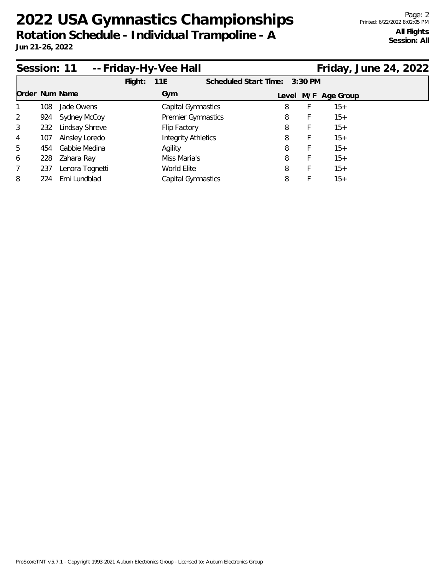| -- Friday-Hy-Vee Hall<br>Session: 11 |     |                 |         |                            |                    |                               |   |                     | Friday, June 24, 2022 |  |
|--------------------------------------|-----|-----------------|---------|----------------------------|--------------------|-------------------------------|---|---------------------|-----------------------|--|
|                                      |     |                 | Flight: | 11E                        |                    | Scheduled Start Time: 3:30 PM |   |                     |                       |  |
| Order Num Name                       |     |                 |         | Gym                        |                    |                               |   | Level M/F Age Group |                       |  |
|                                      | 108 | Jade Owens      |         | Capital Gymnastics         |                    | 8                             |   | $15+$               |                       |  |
| 2                                    | 924 | Sydney McCoy    |         |                            | Premier Gymnastics | 8                             |   | $15+$               |                       |  |
| 3                                    | 232 | Lindsay Shreve  |         | Flip Factory               |                    | 8                             | Ł | $15+$               |                       |  |
| 4                                    | 107 | Ainsley Loredo  |         | <b>Integrity Athletics</b> |                    | 8                             | F | $15+$               |                       |  |
| 5                                    | 454 | Gabbie Medina   |         | Agility                    |                    | 8                             |   | $15+$               |                       |  |
| 6                                    | 228 | Zahara Ray      |         | Miss Maria's               |                    | 8                             |   | $15+$               |                       |  |
| 7                                    | 237 | Lenora Tognetti |         | World Elite                |                    | 8                             |   | $15+$               |                       |  |
| 8                                    | 224 | Emi Lundblad    |         | Capital Gymnastics         |                    | 8                             |   | $15+$               |                       |  |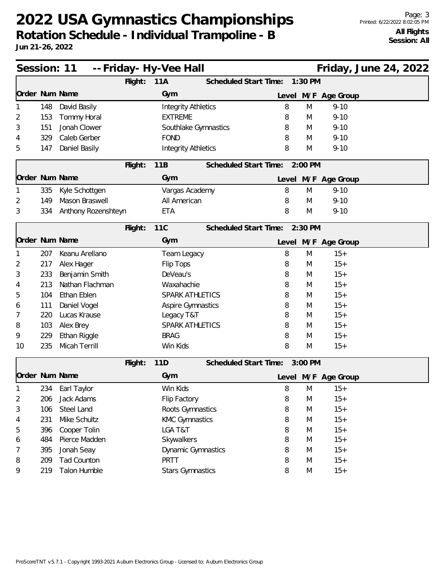|                |     | Session: 11 -- Friday - Hy-Vee Hall |         |                            |                               |   |         |                     | Friday, June 24, 2022 |  |
|----------------|-----|-------------------------------------|---------|----------------------------|-------------------------------|---|---------|---------------------|-----------------------|--|
|                |     |                                     | Flight: | 11A                        | Scheduled Start Time:         |   | 1:30 PM |                     |                       |  |
| Order Num Name |     |                                     |         | Gym                        |                               |   |         | Level M/F Age Group |                       |  |
|                | 148 | David Basily                        |         | <b>Integrity Athletics</b> |                               | 8 | M       | $9 - 10$            |                       |  |
| 2              | 153 | <b>Tommy Horal</b>                  |         | <b>EXTREME</b>             |                               | 8 | M       | $9 - 10$            |                       |  |
| 3              | 151 | Jonah Clower                        |         | Southlake Gymnastics       |                               | 8 | M       | $9 - 10$            |                       |  |
| 4              | 329 | Caleb Gerber                        |         | <b>FOND</b>                |                               | 8 | M       | $9 - 10$            |                       |  |
| 5              | 147 | Daniel Basily                       |         | <b>Integrity Athletics</b> |                               | 8 | M       | $9 - 10$            |                       |  |
|                |     |                                     | Flight: | 11B                        | Scheduled Start Time: 2:00 PM |   |         |                     |                       |  |
| Order Num Name |     |                                     |         | Gym                        |                               |   |         | Level M/F Age Group |                       |  |
|                | 335 | Kyle Schottgen                      |         | Vargas Academy             |                               | 8 | M       | $9 - 10$            |                       |  |
| 2              | 149 | Mason Braswell                      |         | All American               |                               | 8 | M       | $9 - 10$            |                       |  |
| 3              | 334 | Anthony Rozenshteyn                 |         | <b>ETA</b>                 |                               | 8 | M       | $9 - 10$            |                       |  |
|                |     |                                     | Flight: | 11C                        | Scheduled Start Time: 2:30 PM |   |         |                     |                       |  |
| Order Num Name |     |                                     |         | Gym                        |                               |   |         | Level M/F Age Group |                       |  |
|                | 207 | Keanu Arellano                      |         | Team Legacy                |                               | 8 | M       | $15+$               |                       |  |
| 2              | 217 | Alex Hager                          |         | Flip Tops                  |                               | 8 | M       | $15+$               |                       |  |
| 3              | 233 | Benjamin Smith                      |         | DeVeau's                   |                               | 8 | M       | $15+$               |                       |  |
| 4              | 213 | Nathan Flachman                     |         | Waxahachie                 |                               | 8 | M       | $15+$               |                       |  |
| 5              | 104 | Ethan Eblen                         |         | SPARK ATHLETICS            |                               | 8 | M       | $15+$               |                       |  |
| 6              | 111 | Daniel Vogel                        |         | <b>Aspire Gymnastics</b>   |                               | 8 | M       | $15+$               |                       |  |
| $\prime$       | 220 | Lucas Krause                        |         | Legacy T&T                 |                               | 8 | M       | $15+$               |                       |  |
| 8              | 103 | Alex Brey                           |         | <b>SPARK ATHLETICS</b>     |                               | 8 | M       | $15+$               |                       |  |
| 9              | 229 | Ethan Riggle                        |         | <b>BRAG</b>                |                               | 8 | M       | $15+$               |                       |  |
| 10             | 235 | <b>Micah Terrill</b>                |         | Win Kids                   |                               | 8 | M       | $15+$               |                       |  |
|                |     |                                     | Flight: | 11D                        | Scheduled Start Time: 3:00 PM |   |         |                     |                       |  |
| Order Num Name |     |                                     |         | Gym                        |                               |   |         | Level M/F Age Group |                       |  |
| 1              | 234 | Earl Taylor                         |         | Win Kids                   |                               | 8 | M       | $15+$               |                       |  |
| 2              | 206 | Jack Adams                          |         | Flip Factory               |                               | 8 | M       | $15+$               |                       |  |
| 3              | 106 | Steel Land                          |         | Roots Gymnastics           |                               | 8 | M       | $15+$               |                       |  |
| 4              | 231 | Mike Schultz                        |         | <b>KMC Gymnastics</b>      |                               | 8 | M       | $15+$               |                       |  |
| 5              | 396 | Cooper Tolin                        |         | LGA T&T                    |                               | 8 | M       | $15+$               |                       |  |
| 6              | 484 | Pierce Madden                       |         | Skywalkers                 |                               | 8 | M       | $15+$               |                       |  |
| 7              | 395 | Jonah Seay                          |         | Dynamic Gymnastics         |                               | 8 | M       | $15+$               |                       |  |
| 8              | 209 | <b>Tad Counton</b>                  |         | PRTT                       |                               | 8 | M       | $15+$               |                       |  |
| 9              | 219 | Talon Humble                        |         | <b>Stars Gymnastics</b>    |                               | 8 | M       | $15+$               |                       |  |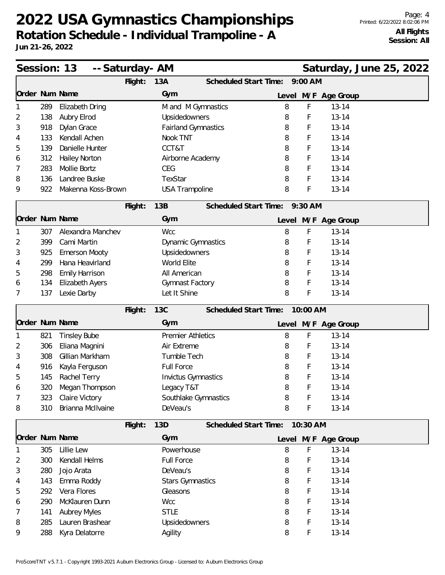|                |     | Session: 13<br>-- Saturday- AM |         |                            |                      |                       |           |                     | Saturday, June 25, 2022 |  |
|----------------|-----|--------------------------------|---------|----------------------------|----------------------|-----------------------|-----------|---------------------|-------------------------|--|
|                |     |                                | Flight: | 13A                        |                      | Scheduled Start Time: | $9:00$ AM |                     |                         |  |
| Order Num Name |     |                                |         | Gym                        |                      |                       |           | Level M/F Age Group |                         |  |
|                | 289 | Elizabeth Dring                |         |                            | M and M Gymnastics   | 8                     | F         | $13 - 14$           |                         |  |
| 2              | 138 | Aubry Elrod                    |         | Upsidedowners              |                      | 8                     | F         | $13 - 14$           |                         |  |
| 3              | 918 | Dylan Grace                    |         | <b>Fairland Gymnastics</b> |                      | 8                     | F         | $13 - 14$           |                         |  |
| 4              | 133 | Kendall Achen                  |         | Nook TNT                   |                      | 8                     | F         | $13 - 14$           |                         |  |
| 5              | 139 | Danielle Hunter                |         | CCT&T                      |                      | 8                     | F         | $13 - 14$           |                         |  |
| 6              | 312 | <b>Hailey Norton</b>           |         | Airborne Academy           |                      | 8                     | F         | $13 - 14$           |                         |  |
| 7              | 283 | Mollie Bortz                   |         | CEG                        |                      | 8                     | F         | $13 - 14$           |                         |  |
| 8              | 136 | Landree Buske                  |         | TexStar                    |                      | 8                     | F         | $13 - 14$           |                         |  |
| 9              | 922 | Makenna Koss-Brown             |         | <b>USA Trampoline</b>      |                      | 8                     | F         | $13 - 14$           |                         |  |
|                |     |                                | Flight: | 13B                        |                      | Scheduled Start Time: | 9:30 AM   |                     |                         |  |
| Order Num Name |     |                                |         | Gym                        |                      |                       |           | Level M/F Age Group |                         |  |
|                | 307 | Alexandra Manchev              |         | <b>Wcc</b>                 |                      | 8                     | F         | $13 - 14$           |                         |  |
| 2              | 399 | Cami Martin                    |         | <b>Dynamic Gymnastics</b>  |                      | 8                     | F         | $13 - 14$           |                         |  |
| 3              | 925 | <b>Emerson Mooty</b>           |         | Upsidedowners              |                      | 8                     | F         | $13 - 14$           |                         |  |
| 4              | 299 | Hana Heavirland                |         | World Elite                |                      | 8                     | F         | $13 - 14$           |                         |  |
| 5              | 298 | <b>Emily Harrison</b>          |         | All American               |                      | 8                     | F         | $13 - 14$           |                         |  |
| 6              | 134 | <b>Elizabeth Ayers</b>         |         | Gymnast Factory            |                      | 8                     | F         | $13 - 14$           |                         |  |
| 7              | 137 | Lexie Darby                    |         | Let It Shine               |                      | 8                     | F         | $13 - 14$           |                         |  |
|                |     |                                | Flight: | <b>13C</b>                 |                      | Scheduled Start Time: | 10:00 AM  |                     |                         |  |
| Order Num Name |     |                                |         | Gym                        |                      |                       |           | Level M/F Age Group |                         |  |
|                | 821 | <b>Tinsley Bube</b>            |         | <b>Premier Athletics</b>   |                      | 8                     | F         | $13 - 14$           |                         |  |
| 2              | 306 | Eliana Magnini                 |         | Air Extreme                |                      | 8                     | F         | $13 - 14$           |                         |  |
| 3              | 308 | Gillian Markham                |         | Tumble Tech                |                      | 8                     | F         | $13 - 14$           |                         |  |
| 4              | 916 | Kayla Ferguson                 |         | <b>Full Force</b>          |                      | 8                     | F         | $13 - 14$           |                         |  |
| 5              | 145 | Rachel Terry                   |         | <b>Invictus Gymnastics</b> |                      | 8                     | F         | $13 - 14$           |                         |  |
| 6              | 320 | Megan Thompson                 |         | Legacy T&T                 |                      | 8                     | F         | $13 - 14$           |                         |  |
| 7              | 323 | Claire Victory                 |         |                            | Southlake Gymnastics | 8                     | F         | $13 - 14$           |                         |  |
| 8              | 310 | Brianna McIlvaine              |         | DeVeau's                   |                      | 8                     | F         | $13 - 14$           |                         |  |
|                |     |                                | Flight: | 13D                        |                      | Scheduled Start Time: | 10:30 AM  |                     |                         |  |
| Order Num Name |     |                                |         | Gym                        |                      |                       |           | Level M/F Age Group |                         |  |
|                | 305 | Lillie Lew                     |         | Powerhouse                 |                      | 8                     | F         | $13 - 14$           |                         |  |
| 2              | 300 | Kendall Helms                  |         | Full Force                 |                      | 8                     | F         | $13 - 14$           |                         |  |
| 3              | 280 | Jojo Arata                     |         | DeVeau's                   |                      | 8                     | F         | $13 - 14$           |                         |  |
| 4              | 143 | Emma Roddy                     |         | <b>Stars Gymnastics</b>    |                      | 8                     | F         | $13 - 14$           |                         |  |
| 5              | 292 | Vera Flores                    |         | Gleasons                   |                      | 8                     | F         | $13 - 14$           |                         |  |
| 6              | 290 | McKlauren Dunn                 |         | Wcc                        |                      | 8                     | F         | $13 - 14$           |                         |  |
| 7              | 141 | <b>Aubrey Myles</b>            |         | <b>STLE</b>                |                      | 8                     | F         | $13 - 14$           |                         |  |
| 8              | 285 | Lauren Brashear                |         | Upsidedowners              |                      | 8                     | F         | $13 - 14$           |                         |  |
| 9              | 288 | Kyra Delatorre                 |         | Agility                    |                      | 8                     | F         | $13 - 14$           |                         |  |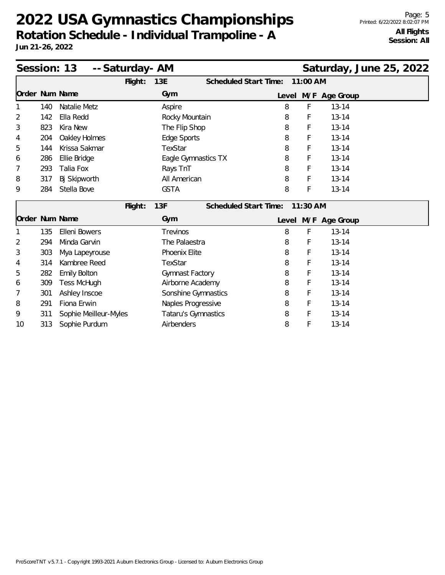|                |     | Session: 13<br>-- Saturday- AM |         |                     |                       |   |          |                     | Saturday, June 25, 2022 |  |
|----------------|-----|--------------------------------|---------|---------------------|-----------------------|---|----------|---------------------|-------------------------|--|
|                |     |                                | Flight: | 13E                 | Scheduled Start Time: |   | 11:00 AM |                     |                         |  |
| Order Num Name |     |                                |         | Gym                 |                       |   |          | Level M/F Age Group |                         |  |
| 1              | 140 | Natalie Metz                   |         | Aspire              |                       | 8 | F        | $13 - 14$           |                         |  |
| 2              | 142 | Ella Redd                      |         | Rocky Mountain      |                       | 8 | F        | $13 - 14$           |                         |  |
| 3              | 823 | Kira New                       |         | The Flip Shop       |                       | 8 | F        | $13 - 14$           |                         |  |
| 4              | 204 | Oakley Holmes                  |         | Edge Sports         |                       | 8 | F        | $13 - 14$           |                         |  |
| 5              | 144 | Krissa Sakmar                  |         | TexStar             |                       | 8 | F        | $13 - 14$           |                         |  |
| 6              | 286 | Ellie Bridge                   |         |                     | Eagle Gymnastics TX   | 8 | F        | $13 - 14$           |                         |  |
| 7              | 293 | Talia Fox                      |         | Rays TnT            |                       | 8 | F        | $13 - 14$           |                         |  |
| 8              | 317 | Bj Skipworth                   |         | All American        |                       | 8 | F        | $13 - 14$           |                         |  |
| 9              | 284 | Stella Bove                    |         | <b>GSTA</b>         |                       | 8 | F        | $13 - 14$           |                         |  |
|                |     |                                | Flight: | 13F                 | Scheduled Start Time: |   | 11:30 AM |                     |                         |  |
| Order Num Name |     |                                |         | Gym                 |                       |   |          | Level M/F Age Group |                         |  |
| 1              | 135 | <b>Elleni Bowers</b>           |         | Trevinos            |                       | 8 | F        | $13 - 14$           |                         |  |
| 2              | 294 | Minda Garvin                   |         | The Palaestra       |                       | 8 | F        | $13 - 14$           |                         |  |
| 3              | 303 | Mya Lapeyrouse                 |         | Phoenix Elite       |                       | 8 | F        | $13 - 14$           |                         |  |
| 4              | 314 | Kambree Reed                   |         | TexStar             |                       | 8 | F        | $13 - 14$           |                         |  |
| 5              | 282 | <b>Emily Bolton</b>            |         | Gymnast Factory     |                       | 8 | F        | $13 - 14$           |                         |  |
| 6              | 309 | <b>Tess McHugh</b>             |         | Airborne Academy    |                       | 8 | F        | $13 - 14$           |                         |  |
| 7              | 301 | Ashley Inscoe                  |         |                     | Sonshine Gymnastics   | 8 | F        | $13 - 14$           |                         |  |
| 8              | 291 | Fiona Erwin                    |         | Naples Progressive  |                       | 8 | F        | $13 - 14$           |                         |  |
| 9              | 311 | Sophie Meilleur-Myles          |         | Tataru's Gymnastics |                       | 8 | F        | $13 - 14$           |                         |  |
| 10             | 313 | Sophie Purdum                  |         | Airbenders          |                       | 8 | F        | $13 - 14$           |                         |  |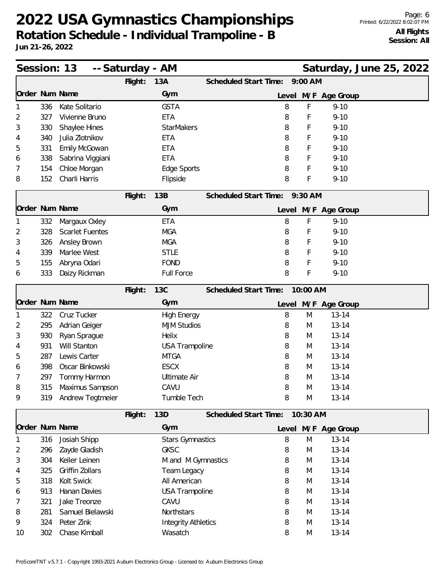| Session: 13    |     |                        | -- Saturday - AM |                            |                                |           |                     | Saturday, June 25, 2022 |  |
|----------------|-----|------------------------|------------------|----------------------------|--------------------------------|-----------|---------------------|-------------------------|--|
|                |     |                        | Flight:          | 13A                        | Scheduled Start Time:          | $9:00$ AM |                     |                         |  |
| Order Num Name |     |                        |                  | Gym                        |                                |           | Level M/F Age Group |                         |  |
|                | 336 | Kate Solitario         |                  | <b>GSTA</b>                | 8                              | F         | $9 - 10$            |                         |  |
| 2              | 327 | Vivienne Bruno         |                  | <b>ETA</b>                 | 8                              | F         | $9 - 10$            |                         |  |
| 3              | 330 | Shaylee Hines          |                  | <b>StarMakers</b>          | 8                              | F         | $9 - 10$            |                         |  |
| 4              | 340 | Julia Zlotnikov        |                  | <b>ETA</b>                 | 8                              | F         | $9 - 10$            |                         |  |
| 5              | 331 | Emily McGowan          |                  | <b>ETA</b>                 | 8                              | F         | $9 - 10$            |                         |  |
| 6              | 338 | Sabrina Viggiani       |                  | <b>ETA</b>                 | 8                              | F         | $9 - 10$            |                         |  |
| 7              | 154 | Chloe Morgan           |                  | Edge Sports                | 8                              | F         | $9 - 10$            |                         |  |
| 8              | 152 | Charli Harris          |                  | Flipside                   | 8                              | F         | $9 - 10$            |                         |  |
|                |     |                        | Flight:          | 13B                        | <b>Scheduled Start Time:</b>   | 9:30 AM   |                     |                         |  |
| Order Num Name |     |                        |                  | Gym                        |                                |           | Level M/F Age Group |                         |  |
|                | 332 | Margaux Oxley          |                  | <b>ETA</b>                 | 8                              | F         | $9 - 10$            |                         |  |
| 2              | 328 | <b>Scarlet Fuentes</b> |                  | <b>MGA</b>                 | 8                              | F         | $9 - 10$            |                         |  |
| 3              | 326 | Ansley Brown           |                  | <b>MGA</b>                 | 8                              | F         | $9 - 10$            |                         |  |
| 4              | 339 | Marlee West            |                  | <b>STLE</b>                | 8                              | F         | $9 - 10$            |                         |  |
| 5              | 155 | Abryna Odari           |                  | <b>FOND</b>                | 8                              | F         | $9 - 10$            |                         |  |
| 6              | 333 | Daizy Rickman          |                  | Full Force                 | 8                              | F         | $9 - 10$            |                         |  |
|                |     |                        | Flight:          | <b>13C</b>                 | Scheduled Start Time:          | 10:00 AM  |                     |                         |  |
| Order Num Name |     |                        |                  | Gym                        | Level                          |           | M/F Age Group       |                         |  |
|                | 322 | Cruz Tucker            |                  | <b>High Energy</b>         | 8                              | M         | $13 - 14$           |                         |  |
| 2              | 295 | Adrian Geiger          |                  | <b>MJM Studios</b>         | 8                              | M         | $13 - 14$           |                         |  |
| 3              | 930 | Ryan Sprague           |                  | Helix                      | 8                              | M         | $13 - 14$           |                         |  |
| 4              | 931 | Will Stanton           |                  | <b>USA Trampoline</b>      | 8                              | M         | $13 - 14$           |                         |  |
| 5              | 287 | Lewis Carter           |                  | <b>MTGA</b>                | 8                              | M         | $13 - 14$           |                         |  |
| 6              | 398 | Oscar Binkowski        |                  | <b>ESCX</b>                | 8                              | M         | $13 - 14$           |                         |  |
| 7              | 297 | Tommy Harmon           |                  | <b>Ultimate Air</b>        | 8                              | M         | $13 - 14$           |                         |  |
| 8              | 315 | Maximus Sampson        |                  | CAVU                       | 8                              | M         | $13 - 14$           |                         |  |
| 9              | 319 | Andrew Tegtmeier       |                  | Tumble Tech                | 8                              | M         | $13 - 14$           |                         |  |
|                |     |                        | Flight:          | 13D                        | Scheduled Start Time: 10:30 AM |           |                     |                         |  |
| Order Num Name |     |                        |                  | Gym                        |                                |           | Level M/F Age Group |                         |  |
|                | 316 | Josiah Shipp           |                  | <b>Stars Gymnastics</b>    | 8                              | M         | $13 - 14$           |                         |  |
| 2              | 296 | Zayde Gladish          |                  | <b>GKSC</b>                | 8                              | M         | $13 - 14$           |                         |  |
| 3              | 304 | Keiler Leinen          |                  | M and M Gymnastics         | 8                              | M         | $13 - 14$           |                         |  |
| 4              | 325 | Griffin Zollars        |                  | Team Legacy                | 8                              | M         | $13 - 14$           |                         |  |
| 5              | 318 | Kolt Swick             |                  | All American               | 8                              | M         | $13 - 14$           |                         |  |
| 6              | 913 | Hanan Davies           |                  | <b>USA Trampoline</b>      | 8                              | M         | $13 - 14$           |                         |  |
| 7              | 321 | Jake Treonze           |                  | CAVU                       | 8                              | M         | $13 - 14$           |                         |  |
| 8              | 281 | Samuel Bielawski       |                  | Northstars                 | 8                              | M         | $13 - 14$           |                         |  |
| 9              | 324 | Peter Zink             |                  | <b>Integrity Athletics</b> | 8                              | M         | $13 - 14$           |                         |  |
| 10             | 302 | Chase Kimball          |                  | Wasatch                    | 8                              | M         | $13 - 14$           |                         |  |
|                |     |                        |                  |                            |                                |           |                     |                         |  |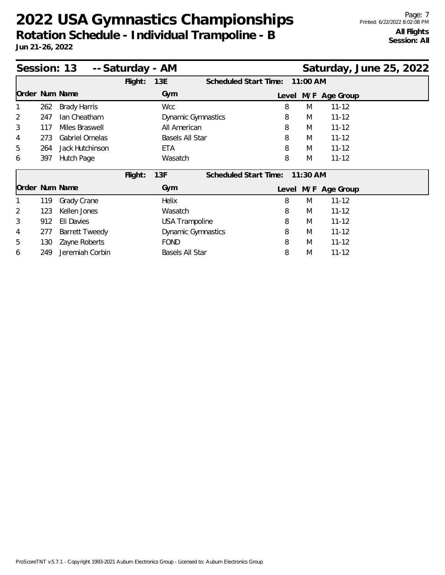| Session: 13<br>-- Saturday - AM<br>Saturday, June 25, 2022 |     |                       |         |                           |                       |       |            |                     |  |  |  |
|------------------------------------------------------------|-----|-----------------------|---------|---------------------------|-----------------------|-------|------------|---------------------|--|--|--|
|                                                            |     |                       | Flight: | 13E                       | Scheduled Start Time: |       | 11:00 AM   |                     |  |  |  |
| Order Num Name                                             |     |                       |         | Gym                       |                       | Level |            | M/F Age Group       |  |  |  |
|                                                            | 262 | <b>Brady Harris</b>   |         | <b>Wcc</b>                |                       | 8     | M          | $11 - 12$           |  |  |  |
| $\overline{2}$                                             | 247 | Ian Cheatham          |         | <b>Dynamic Gymnastics</b> |                       | 8     | M          | $11 - 12$           |  |  |  |
| 3                                                          | 117 | Miles Braswell        |         | All American              |                       | 8     | M          | $11 - 12$           |  |  |  |
| 4                                                          | 273 | Gabriel Ornelas       |         | Basels All Star           |                       | 8     | M          | $11 - 12$           |  |  |  |
| 5                                                          | 264 | Jack Hutchinson       |         | <b>ETA</b>                |                       | 8     | M          | $11 - 12$           |  |  |  |
| 6                                                          | 397 | Hutch Page            |         | Wasatch                   |                       | 8     | M          | $11 - 12$           |  |  |  |
|                                                            |     |                       | Flight: | 13F                       | Scheduled Start Time: |       | $11:30$ AM |                     |  |  |  |
| Order Num Name                                             |     |                       |         | Gym                       |                       |       |            | Level M/F Age Group |  |  |  |
|                                                            | 119 | Grady Crane           |         | <b>Helix</b>              |                       | 8     | M          | $11 - 12$           |  |  |  |
| 2                                                          | 123 | Kellen Jones          |         | Wasatch                   |                       | 8     | M          | $11 - 12$           |  |  |  |
| 3                                                          | 912 | Eli Davies            |         | <b>USA Trampoline</b>     |                       | 8     | M          | $11 - 12$           |  |  |  |
| 4                                                          | 277 | <b>Barrett Tweedy</b> |         | <b>Dynamic Gymnastics</b> |                       | 8     | M          | $11 - 12$           |  |  |  |
| 5                                                          | 130 | Zayne Roberts         |         | <b>FOND</b>               |                       | 8     | M          | $11 - 12$           |  |  |  |
| 6                                                          | 249 | Jeremiah Corbin       |         | Basels All Star           |                       | 8     | M          | $11 - 12$           |  |  |  |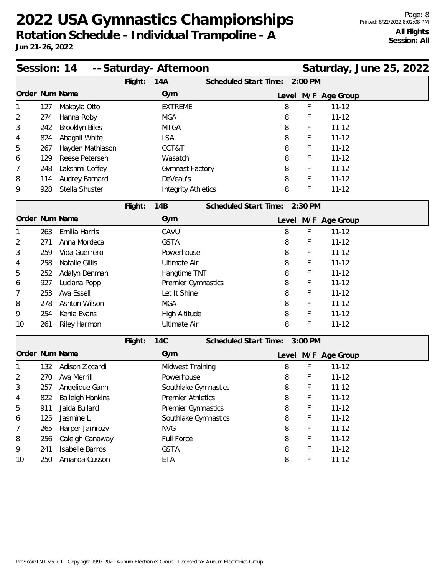| Session: 14    |     |                         |         | -- Saturday- Afternoon     |                               |   |         | Saturday, June 25, 2022 |  |  |
|----------------|-----|-------------------------|---------|----------------------------|-------------------------------|---|---------|-------------------------|--|--|
|                |     |                         | Flight: | 14A                        | Scheduled Start Time:         |   | 2:00 PM |                         |  |  |
|                |     | Order Num Name          |         | Gym                        |                               |   |         | Level M/F Age Group     |  |  |
|                | 127 | Makayla Otto            |         | <b>EXTREME</b>             |                               | 8 | F       | $11 - 12$               |  |  |
| 2              | 274 | Hanna Roby              |         | <b>MGA</b>                 |                               | 8 | F       | $11 - 12$               |  |  |
| 3              | 242 | Brooklyn Biles          |         | <b>MTGA</b>                |                               | 8 | F       | $11 - 12$               |  |  |
| 4              | 824 | Abagail White           |         | <b>LSA</b>                 |                               | 8 | F       | $11 - 12$               |  |  |
| 5              | 267 | Hayden Mathiason        |         | CCT&T                      |                               | 8 | F       | $11 - 12$               |  |  |
| 6              | 129 | Reese Petersen          |         | Wasatch                    |                               | 8 | F       | $11 - 12$               |  |  |
| 7              | 248 | Lakshmi Coffey          |         | Gymnast Factory            |                               | 8 | F       | $11 - 12$               |  |  |
| 8              | 114 | Audrey Barnard          |         | DeVeau's                   |                               | 8 | F       | $11 - 12$               |  |  |
| 9              | 928 | Stella Shuster          |         | <b>Integrity Athletics</b> |                               | 8 | F       | $11 - 12$               |  |  |
|                |     |                         | Flight: | 14B                        | Scheduled Start Time: 2:30 PM |   |         |                         |  |  |
|                |     | Order Num Name          |         | Gym                        |                               |   |         | Level M/F Age Group     |  |  |
|                | 263 | Emilia Harris           |         | CAVU                       |                               | 8 | F       | $11 - 12$               |  |  |
| 2              | 271 | Anna Mordecai           |         | <b>GSTA</b>                |                               | 8 | F       | $11 - 12$               |  |  |
| 3              | 259 | Vida Guerrero           |         | Powerhouse                 |                               | 8 | F       | $11 - 12$               |  |  |
| 4              | 258 | Natalie Gillis          |         | <b>Ultimate Air</b>        |                               | 8 | F       | $11 - 12$               |  |  |
| 5              | 252 | Adalyn Denman           |         | Hangtime TNT               |                               | 8 | F       | $11 - 12$               |  |  |
| 6              | 927 | Luciana Popp            |         | Premier Gymnastics         |                               | 8 | F       | $11 - 12$               |  |  |
| 7              | 253 | Ava Essell              |         | Let It Shine               |                               | 8 | F       | $11 - 12$               |  |  |
| 8              | 278 | Ashton Wilson           |         | <b>MGA</b>                 |                               | 8 | F       | $11 - 12$               |  |  |
| 9              | 254 | Kenia Evans             |         | High Altitude              |                               | 8 | F       | $11 - 12$               |  |  |
| 10             | 261 | Riley Harmon            |         | <b>Ultimate Air</b>        |                               | 8 | F       | $11 - 12$               |  |  |
|                |     |                         | Flight: | <b>14C</b>                 | Scheduled Start Time:         |   | 3:00 PM |                         |  |  |
| Order Num Name |     |                         |         | Gym                        |                               |   |         | Level M/F Age Group     |  |  |
|                | 132 | Adison Ziccardi         |         | Midwest Training           |                               | 8 | F       | $11 - 12$               |  |  |
| 2              | 270 | Ava Merrill             |         | Powerhouse                 |                               | 8 | F       | $11 - 12$               |  |  |
| 3              | 257 | Angelique Gann          |         | Southlake Gymnastics       |                               | 8 | F       | $11 - 12$               |  |  |
| 4              | 822 | <b>Baileigh Hankins</b> |         | <b>Premier Athletics</b>   |                               | 8 | F       | $11 - 12$               |  |  |
| 5              | 911 | Jaida Bullard           |         | Premier Gymnastics         |                               | 8 | F       | $11 - 12$               |  |  |
| 6              | 125 | Jasmine Li              |         | Southlake Gymnastics       |                               | 8 | F       | $11 - 12$               |  |  |
| 7              | 265 | Harper Jamrozy          |         | <b>NVG</b>                 |                               | 8 | F       | $11 - 12$               |  |  |
| 8              | 256 | Caleigh Ganaway         |         | Full Force                 |                               | 8 | F       | $11 - 12$               |  |  |
| 9              | 241 | <b>Isabelle Barros</b>  |         | <b>GSTA</b>                |                               | 8 | F       | $11 - 12$               |  |  |
| 10             | 250 | Amanda Cusson           |         | ETA                        |                               | 8 | F       | $11 - 12$               |  |  |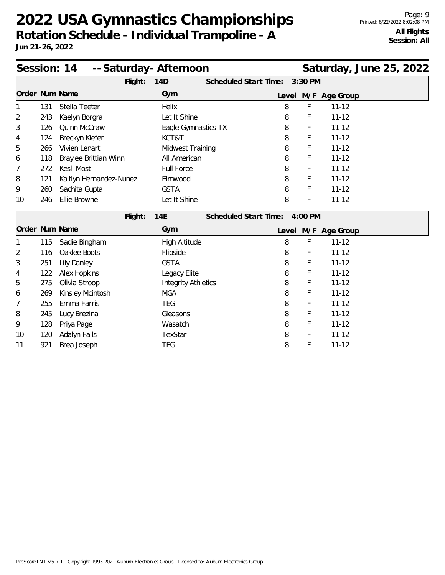|                |     | Session: 14<br>-- Saturday- Afternoon |                                      |   |         | Saturday, June 25, 2022 |  |
|----------------|-----|---------------------------------------|--------------------------------------|---|---------|-------------------------|--|
|                |     | Flight:                               | Scheduled Start Time:<br>14D         |   | 3:30 PM |                         |  |
| Order Num Name |     |                                       | Gym                                  |   |         | Level M/F Age Group     |  |
|                | 131 | Stella Teeter                         | Helix                                | 8 | F       | $11 - 12$               |  |
| 2              | 243 | Kaelyn Borgra                         | Let It Shine                         | 8 | F       | $11 - 12$               |  |
| 3              | 126 | Quinn McCraw                          | Eagle Gymnastics TX                  | 8 | F       | $11 - 12$               |  |
| 4              | 124 | Breckyn Kiefer                        | KCT&T                                | 8 | F       | $11 - 12$               |  |
| 5              | 266 | Vivien Lenart                         | <b>Midwest Training</b>              | 8 | F       | $11 - 12$               |  |
| 6              | 118 | Braylee Brittian Winn                 | All American                         | 8 | F       | $11 - 12$               |  |
| 7              | 272 | Kesli Most                            | <b>Full Force</b>                    | 8 | F       | $11 - 12$               |  |
| 8              | 121 | Kaitlyn Hernandez-Nunez               | Elmwood                              | 8 | F       | $11 - 12$               |  |
| 9              | 260 | Sachita Gupta                         | <b>GSTA</b>                          | 8 | F       | $11 - 12$               |  |
| 10             | 246 | Ellie Browne                          | Let It Shine                         | 8 | F       | $11 - 12$               |  |
|                |     | Flight:                               | 14E<br>Scheduled Start Time: 4:00 PM |   |         |                         |  |
| Order Num Name |     |                                       | Gym                                  |   |         | Level M/F Age Group     |  |
| 1              | 115 | Sadie Bingham                         | High Altitude                        | 8 | F       | $11 - 12$               |  |
| 2              | 116 | Oaklee Boots                          | Flipside                             | 8 | F       | $11 - 12$               |  |
| 3              | 251 | Lily Danley                           | <b>GSTA</b>                          | 8 | F       | $11 - 12$               |  |
| 4              | 122 | Alex Hopkins                          | Legacy Elite                         | 8 | F       | $11 - 12$               |  |
| 5              | 275 | Olivia Stroop                         | <b>Integrity Athletics</b>           | 8 | F       | $11 - 12$               |  |
| 6              | 269 | Kinsley Mcintosh                      | <b>MGA</b>                           | 8 | F       | $11 - 12$               |  |
| 7              | 255 | Emma Farris                           | <b>TEG</b>                           | 8 | F       | $11 - 12$               |  |
| 8              | 245 | Lucy Brezina                          | Gleasons                             | 8 | F       | $11 - 12$               |  |
| 9              | 128 | Priya Page                            | Wasatch                              | 8 | F       | $11 - 12$               |  |
| 10             | 120 | Adalyn Falls                          | TexStar                              | 8 | F       | $11 - 12$               |  |
| 11             | 921 | Brea Joseph                           | <b>TEG</b>                           | 8 | F       | $11 - 12$               |  |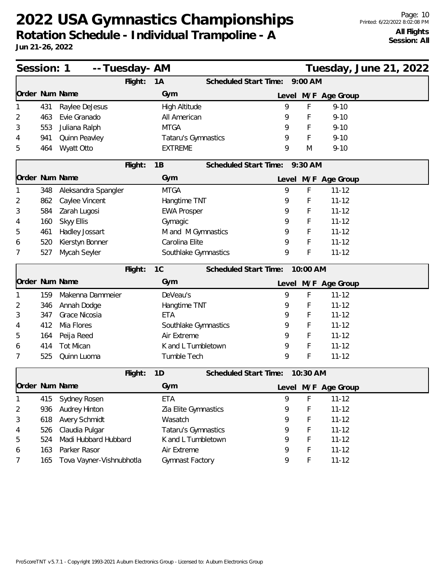| Session: 1     |     |                          | -- Tuesday- AM |                      |                               |       |             |                     | Tuesday, June 21, 2022 |  |
|----------------|-----|--------------------------|----------------|----------------------|-------------------------------|-------|-------------|---------------------|------------------------|--|
|                |     |                          | Flight:        | 1A                   | Scheduled Start Time:         |       | $9:00$ AM   |                     |                        |  |
| Order Num Name |     |                          |                | Gym                  |                               |       |             | Level M/F Age Group |                        |  |
|                | 431 | Raylee DeJesus           |                | High Altitude        |                               | 9     | $\mathsf F$ | $9 - 10$            |                        |  |
| 2              | 463 | Evie Granado             |                | All American         |                               | 9     | F           | $9 - 10$            |                        |  |
| 3              | 553 | Juliana Ralph            |                | <b>MTGA</b>          |                               | 9     | F           | $9 - 10$            |                        |  |
| 4              | 941 | Quinn Peavley            |                | Tataru's Gymnastics  |                               | 9     | F           | $9 - 10$            |                        |  |
| 5              | 464 | Wyatt Otto               |                | <b>EXTREME</b>       |                               | 9     | M           | $9 - 10$            |                        |  |
|                |     |                          | Flight:        | 1B                   | Scheduled Start Time: 9:30 AM |       |             |                     |                        |  |
| Order Num Name |     |                          |                | Gym                  |                               |       |             | Level M/F Age Group |                        |  |
|                | 348 | Aleksandra Spangler      |                | <b>MTGA</b>          |                               | 9     | F           | $11 - 12$           |                        |  |
| 2              | 862 | Caylee Vincent           |                | Hangtime TNT         |                               | 9     | F           | $11 - 12$           |                        |  |
| 3              | 584 | Zarah Lugosi             |                | <b>EWA Prosper</b>   |                               | 9     | F           | $11 - 12$           |                        |  |
| 4              | 160 | Skyy Ellis               |                | Gymagic              |                               | 9     | F           | $11 - 12$           |                        |  |
| 5              | 461 | Hadley Jossart           |                | M and M Gymnastics   |                               | 9     | F           | $11 - 12$           |                        |  |
| 6              | 520 | Kierstyn Bonner          |                | Carolina Elite       |                               | 9     | $\mathsf F$ | $11 - 12$           |                        |  |
| 7              | 527 | Mycah Seyler             |                | Southlake Gymnastics |                               | 9     | F           | $11 - 12$           |                        |  |
|                |     |                          | Flight:        | 1C                   | <b>Scheduled Start Time:</b>  |       | 10:00 AM    |                     |                        |  |
| Order Num Name |     |                          |                | Gym                  |                               |       |             | Level M/F Age Group |                        |  |
|                | 159 | Makenna Dammeier         |                | DeVeau's             |                               | 9     | F           | $11 - 12$           |                        |  |
| 2              | 346 | Annah Dodge              |                | Hangtime TNT         |                               | 9     | F           | $11 - 12$           |                        |  |
| 3              | 347 | Grace Nicosia            |                | <b>ETA</b>           |                               | 9     | F           | $11 - 12$           |                        |  |
| 4              | 412 | Mia Flores               |                | Southlake Gymnastics |                               | 9     | F           | $11 - 12$           |                        |  |
| 5              | 164 | Peija Reed               |                | Air Extreme          |                               | 9     | F           | $11 - 12$           |                        |  |
| 6              | 414 | <b>Tot Mican</b>         |                | K and L Tumbletown   |                               | 9     | $\mathsf F$ | $11 - 12$           |                        |  |
| 7              | 525 | Quinn Luoma              |                | Tumble Tech          |                               | 9     | $\mathsf F$ | $11 - 12$           |                        |  |
|                |     |                          | Flight:        | 1D                   | <b>Scheduled Start Time:</b>  |       | 10:30 AM    |                     |                        |  |
| Order Num Name |     |                          |                | Gym                  |                               | Level |             | M/F Age Group       |                        |  |
| 1              | 415 | Sydney Rosen             |                | ETA                  |                               | 9     | F           | $11 - 12$           |                        |  |
| 2              | 936 | <b>Audrey Hinton</b>     |                | Zia Elite Gymnastics |                               | 9     | F           | $11 - 12$           |                        |  |
| 3              | 618 | Avery Schmidt            |                | Wasatch              |                               | 9     | F           | $11 - 12$           |                        |  |
| 4              | 526 | Claudia Pulgar           |                | Tataru's Gymnastics  |                               | 9     | F           | $11 - 12$           |                        |  |
| 5              | 524 | Madi Hubbard Hubbard     |                | K and L Tumbletown   |                               | 9     | F           | $11 - 12$           |                        |  |
| 6              | 163 | Parker Rasor             |                | Air Extreme          |                               | 9     | F           | $11 - 12$           |                        |  |
| 7              | 165 | Tova Vayner-Vishnubhotla |                | Gymnast Factory      |                               | 9     | F           | $11 - 12$           |                        |  |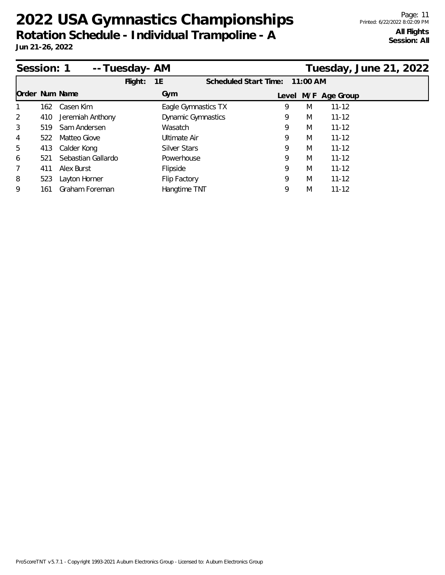| Session: 1     |     |                    | -- Tuesday- AM |                           |                              |   |            |                     | Tuesday, June 21, 2022 |  |
|----------------|-----|--------------------|----------------|---------------------------|------------------------------|---|------------|---------------------|------------------------|--|
|                |     |                    | Flight:        | 1E                        | <b>Scheduled Start Time:</b> |   | $11:00$ AM |                     |                        |  |
| Order Num Name |     |                    |                | Gym                       |                              |   |            | Level M/F Age Group |                        |  |
|                | 162 | Casen Kim          |                | Eagle Gymnastics TX       |                              | 9 | M          | $11 - 12$           |                        |  |
| 2              | 410 | Jeremiah Anthony   |                | <b>Dynamic Gymnastics</b> |                              | 9 | M          | $11 - 12$           |                        |  |
| 3              | 519 | Sam Andersen       |                | Wasatch                   |                              | 9 | M          | $11 - 12$           |                        |  |
| 4              | 522 | Matteo Giove       |                | Ultimate Air              |                              | 9 | M          | $11 - 12$           |                        |  |
| 5              | 413 | Calder Kong        |                | Silver Stars              |                              | 9 | M          | $11 - 12$           |                        |  |
| 6              | 521 | Sebastian Gallardo |                | Powerhouse                |                              | 9 | M          | $11 - 12$           |                        |  |
| 7              | 411 | Alex Burst         |                | Flipside                  |                              | 9 | M          | $11 - 12$           |                        |  |
| 8              | 523 | Layton Horner      |                | Flip Factory              |                              | 9 | M          | $11 - 12$           |                        |  |
| 9              | 161 | Graham Foreman     |                | Hangtime TNT              |                              | 9 | M          | $11 - 12$           |                        |  |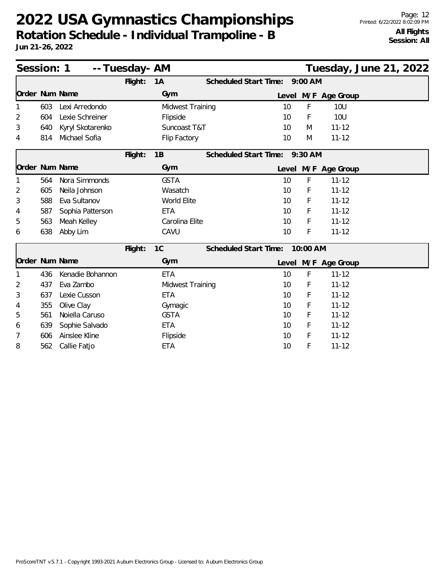|                | Session: 1<br>-- Tuesday- AM<br>Tuesday, June 21, 2022<br>$9:00$ AM |                  |         |                  |                               |  |          |                     |  |  |  |
|----------------|---------------------------------------------------------------------|------------------|---------|------------------|-------------------------------|--|----------|---------------------|--|--|--|
|                |                                                                     |                  | Flight: | 1A               | <b>Scheduled Start Time:</b>  |  |          |                     |  |  |  |
| Order Num Name |                                                                     |                  |         | Gym              |                               |  |          | Level M/F Age Group |  |  |  |
|                | 603                                                                 | Lexi Arredondo   |         | Midwest Training | 10                            |  | F        | <b>10U</b>          |  |  |  |
| 2              | 604                                                                 | Lexie Schreiner  |         | Flipside         | 10                            |  | F        | <b>10U</b>          |  |  |  |
| 3              | 640                                                                 | Kyryl Skotarenko |         | Suncoast T&T     | 10                            |  | M        | $11 - 12$           |  |  |  |
| 4              | 814                                                                 | Michael Sofia    |         | Flip Factory     | 10                            |  | M        | $11 - 12$           |  |  |  |
|                |                                                                     |                  | Flight: | 1B               | Scheduled Start Time: 9:30 AM |  |          |                     |  |  |  |
| Order Num Name |                                                                     |                  |         | Gym              |                               |  |          | Level M/F Age Group |  |  |  |
|                | 564                                                                 | Nora Simmonds    |         | <b>GSTA</b>      | 10                            |  | F        | $11 - 12$           |  |  |  |
| 2              | 605                                                                 | Neila Johnson    |         | Wasatch          | 10                            |  | F        | $11 - 12$           |  |  |  |
| 3              | 588                                                                 | Eva Sultanov     |         | World Elite      | 10                            |  | F        | $11 - 12$           |  |  |  |
| 4              | 587                                                                 | Sophia Patterson |         | <b>ETA</b>       | 10                            |  | F        | $11 - 12$           |  |  |  |
| 5              | 563                                                                 | Meah Kelley      |         | Carolina Elite   | 10                            |  | F        | $11 - 12$           |  |  |  |
| 6              | 638                                                                 | Abby Lim         |         | CAVU             | 10                            |  | F        | $11 - 12$           |  |  |  |
|                |                                                                     |                  | Flight: | 1C               | <b>Scheduled Start Time:</b>  |  | 10:00 AM |                     |  |  |  |
| Order Num Name |                                                                     |                  |         | Gym              |                               |  |          | Level M/F Age Group |  |  |  |
|                | 436                                                                 | Kenadie Bohannon |         | <b>ETA</b>       | 10                            |  | F        | $11 - 12$           |  |  |  |
| 2              | 437                                                                 | Eva Zambo        |         | Midwest Training | 10                            |  | F        | $11 - 12$           |  |  |  |
| 3              | 637                                                                 | Lexie Cusson     |         | <b>ETA</b>       | 10                            |  | F        | $11 - 12$           |  |  |  |
| 4              | 355                                                                 | Olive Clay       |         | Gymagic          | 10                            |  | F        | $11 - 12$           |  |  |  |
| 5              | 561                                                                 | Noiella Caruso   |         | <b>GSTA</b>      | 10                            |  | F        | $11 - 12$           |  |  |  |
| 6              | 639                                                                 | Sophie Salvado   |         | <b>ETA</b>       | 10                            |  | F        | $11 - 12$           |  |  |  |
| 7              | 606                                                                 | Ainslee Kline    |         | Flipside         | 10                            |  | F        | $11 - 12$           |  |  |  |
| 8              | 562                                                                 | Callie Fatjo     |         | <b>ETA</b>       | 10                            |  | F        | $11 - 12$           |  |  |  |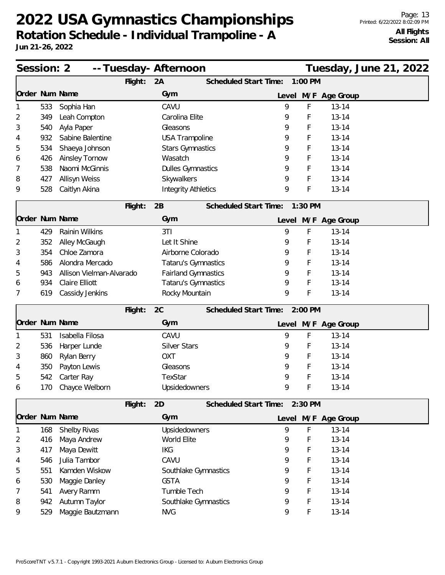| Session: 2     |     |                          |         | -- Tuesday- Afternoon      |                       |       |           |                     | Tuesday, June 21, 2022 |  |
|----------------|-----|--------------------------|---------|----------------------------|-----------------------|-------|-----------|---------------------|------------------------|--|
|                |     |                          | Flight: | 2A                         | Scheduled Start Time: |       | 1:00 PM   |                     |                        |  |
| Order Num Name |     |                          |         | Gym                        |                       | Level |           | M/F Age Group       |                        |  |
|                | 533 | Sophia Han               |         | CAVU                       |                       | 9     | F         | $13 - 14$           |                        |  |
| 2              | 349 | Leah Compton             |         | Carolina Elite             |                       | 9     | F         | $13 - 14$           |                        |  |
| 3              | 540 | Ayla Paper               |         | Gleasons                   |                       | 9     | F         | $13 - 14$           |                        |  |
| 4              | 932 | Sabine Balentine         |         | <b>USA Trampoline</b>      |                       | 9     | F         | $13 - 14$           |                        |  |
| 5              | 534 | Shaeya Johnson           |         | <b>Stars Gymnastics</b>    |                       | 9     | F         | $13 - 14$           |                        |  |
| 6              | 426 | Ainsley Tornow           |         | Wasatch                    |                       | 9     | F         | $13 - 14$           |                        |  |
| 7              | 538 | Naomi McGinnis           |         | <b>Dulles Gymnastics</b>   |                       | 9     | F         | $13 - 14$           |                        |  |
| 8              | 427 | Allisyn Weiss            |         | Skywalkers                 |                       | 9     | F         | $13 - 14$           |                        |  |
| 9              | 528 | Caitlyn Akina            |         | <b>Integrity Athletics</b> |                       | 9     | F         | $13 - 14$           |                        |  |
|                |     |                          | Flight: | 2B                         | Scheduled Start Time: |       | $1:30$ PM |                     |                        |  |
| Order Num Name |     |                          |         | Gym                        |                       |       |           | Level M/F Age Group |                        |  |
|                | 429 | Rainin Wilkins           |         | 3T1                        |                       | 9     | F         | $13 - 14$           |                        |  |
| 2              | 352 | Alley McGaugh            |         | Let It Shine               |                       | 9     | F         | $13 - 14$           |                        |  |
| 3              | 354 | Chloe Zamora             |         | Airborne Colorado          |                       | 9     | F         | $13 - 14$           |                        |  |
| 4              | 586 | Alondra Mercado          |         | Tataru's Gymnastics        |                       | 9     | F         | $13 - 14$           |                        |  |
| ხ              | 943 | Allison Vielman-Alvarado |         | <b>Fairland Gymnastics</b> |                       | 9     | F         | $13 - 14$           |                        |  |
| 6              | 934 | <b>Claire Elliott</b>    |         | Tataru's Gymnastics        |                       | 9     | F         | $13 - 14$           |                        |  |
| 7              | 619 | Cassidy Jenkins          |         | Rocky Mountain             |                       | 9     | F         | $13 - 14$           |                        |  |
|                |     |                          | Flight: | 2C                         | Scheduled Start Time: |       | $2:00$ PM |                     |                        |  |
| Order Num Name |     |                          |         | Gym                        |                       |       |           | Level M/F Age Group |                        |  |
|                | 531 | Isabella Filosa          |         | CAVU                       |                       | 9     | F         | $13 - 14$           |                        |  |
| 2              | 536 | Harper Lunde             |         | <b>Silver Stars</b>        |                       | 9     | F         | $13 - 14$           |                        |  |
| 3              | 860 | Rylan Berry              |         | <b>OXT</b>                 |                       | 9     | F         | $13 - 14$           |                        |  |
| 4              | 350 | Payton Lewis             |         | Gleasons                   |                       | 9     | F         | $13 - 14$           |                        |  |
| 5              | 542 | Carter Ray               |         | TexStar                    |                       | 9     | F         | $13 - 14$           |                        |  |
| 6              | 170 | Chayce Welborn           |         | Upsidedowners              |                       | 9     | F         | $13 - 14$           |                        |  |
|                |     |                          | Flight: | 2D                         | Scheduled Start Time: |       | $2:30$ PM |                     |                        |  |
| Order Num Name |     |                          |         | Gym                        |                       | Level |           | M/F Age Group       |                        |  |
|                | 168 | Shelby Rivas             |         | Upsidedowners              |                       | 9     | F         | $13 - 14$           |                        |  |
| 2              | 416 | Maya Andrew              |         | World Elite                |                       | 9     | F         | $13 - 14$           |                        |  |
| 3              | 417 | Maya Dewitt              |         | <b>IKG</b>                 |                       | 9     | F         | $13 - 14$           |                        |  |
| 4              | 546 | Julia Tambor             |         | CAVU                       |                       | 9     | F         | $13 - 14$           |                        |  |
| 5              | 551 | Kamden Wiskow            |         | Southlake Gymnastics       |                       | 9     | F         | $13 - 14$           |                        |  |
| 6              | 530 | Maggie Danley            |         | <b>GSTA</b>                |                       | 9     | F         | $13 - 14$           |                        |  |
| 7              | 541 | Avery Ramm               |         | Tumble Tech                |                       | 9     | F         | $13 - 14$           |                        |  |
| 8              | 942 | Autumn Taylor            |         | Southlake Gymnastics       |                       | 9     | F         | $13 - 14$           |                        |  |
| 9              | 529 | Maggie Bautzmann         |         | <b>NVG</b>                 |                       | 9     | F         | $13 - 14$           |                        |  |
|                |     |                          |         |                            |                       |       |           |                     |                        |  |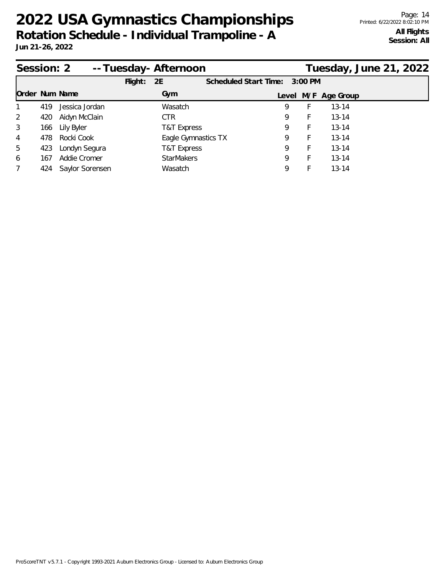| Session: 2     |     |                 |         | --Tuesday-Afternoon |                       |   |           |                     | Tuesday, June 21, 2022 |
|----------------|-----|-----------------|---------|---------------------|-----------------------|---|-----------|---------------------|------------------------|
|                |     |                 | Flight: | 2E                  | Scheduled Start Time: |   | $3:00$ PM |                     |                        |
| Order Num Name |     |                 |         | Gym                 |                       |   |           | Level M/F Age Group |                        |
| $\mathbf{1}$   | 419 | Jessica Jordan  |         | Wasatch             |                       | 9 | F.        | $13 - 14$           |                        |
| 2              | 420 | Aidyn McClain   |         | CTR.                |                       | 9 | <b>F</b>  | $13 - 14$           |                        |
| 3              | 166 | Lily Byler      |         | T&T Express         |                       | 9 | F         | $13 - 14$           |                        |
| $\overline{4}$ | 478 | Rocki Cook      |         | Eagle Gymnastics TX |                       | 9 | F.        | $13 - 14$           |                        |
| 5              | 423 | Londyn Segura   |         | T&T Express         |                       | Q | F         | $13 - 14$           |                        |
| 6              | 167 | Addie Cromer    |         | <b>StarMakers</b>   |                       | 9 | н.        | $13 - 14$           |                        |
| $\overline{7}$ | 424 | Saylor Sorensen |         | Wasatch             |                       | Q |           | $13 - 14$           |                        |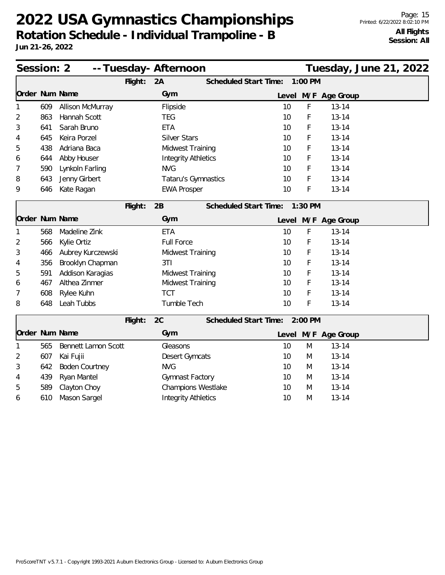| Session: 2     |     |                       |         | -- Tuesday- Afternoon      |                               |       |         |                     | Tuesday, June 21, 2022 |  |
|----------------|-----|-----------------------|---------|----------------------------|-------------------------------|-------|---------|---------------------|------------------------|--|
|                |     |                       | Flight: | 2A                         | <b>Scheduled Start Time:</b>  |       | 1:00 PM |                     |                        |  |
| Order Num Name |     |                       |         | Gym                        |                               | Level |         | M/F Age Group       |                        |  |
| 1              | 609 | Allison McMurray      |         | Flipside                   |                               | 10    | F       | $13 - 14$           |                        |  |
| 2              | 863 | Hannah Scott          |         | <b>TEG</b>                 |                               | 10    | F       | $13 - 14$           |                        |  |
| 3              | 641 | Sarah Bruno           |         | <b>ETA</b>                 |                               | 10    | F       | $13 - 14$           |                        |  |
| 4              | 645 | Keira Porzel          |         | <b>Silver Stars</b>        |                               | 10    | F       | $13 - 14$           |                        |  |
| 5              | 438 | Adriana Baca          |         | <b>Midwest Training</b>    |                               | 10    | F       | $13 - 14$           |                        |  |
| 6              | 644 | Abby Houser           |         | <b>Integrity Athletics</b> |                               | 10    | F       | $13 - 14$           |                        |  |
| 7              | 590 | Lynkoln Farling       |         | <b>NVG</b>                 |                               | 10    | F       | $13 - 14$           |                        |  |
| 8              | 643 | Jenny Girbert         |         | Tataru's Gymnastics        |                               | 10    | F       | $13 - 14$           |                        |  |
| 9              | 646 | Kate Ragan            |         | <b>EWA Prosper</b>         |                               | 10    | F       | $13 - 14$           |                        |  |
|                |     |                       | Flight: | 2B                         | Scheduled Start Time: 1:30 PM |       |         |                     |                        |  |
| Order Num Name |     |                       |         | Gym                        |                               |       |         | Level M/F Age Group |                        |  |
| 1              | 568 | Madeline Zink         |         | <b>ETA</b>                 |                               | 10    | F       | $13 - 14$           |                        |  |
| 2              | 566 | Kylie Ortiz           |         | <b>Full Force</b>          |                               | 10    | F       | $13 - 14$           |                        |  |
| 3              | 466 | Aubrey Kurczewski     |         | <b>Midwest Training</b>    |                               | 10    | F       | $13 - 14$           |                        |  |
| 4              | 356 | Brooklyn Chapman      |         | 3T1                        |                               | 10    | F       | $13 - 14$           |                        |  |
| 5              | 591 | Addison Karagias      |         | <b>Midwest Training</b>    |                               | 10    | F       | $13 - 14$           |                        |  |
| 6              | 467 | Althea Zinmer         |         | <b>Midwest Training</b>    |                               | 10    | F       | $13 - 14$           |                        |  |
| 7              | 608 | Rylee Kuhn            |         | <b>TCT</b>                 |                               | 10    | F       | $13 - 14$           |                        |  |
| 8              | 648 | Leah Tubbs            |         | Tumble Tech                |                               | 10    | F       | $13 - 14$           |                        |  |
|                |     |                       | Flight: | 2C                         | Scheduled Start Time: 2:00 PM |       |         |                     |                        |  |
| Order Num Name |     |                       |         | Gym                        |                               |       |         | Level M/F Age Group |                        |  |
| 1              | 565 | Bennett Lamon Scott   |         | Gleasons                   |                               | 10    | M       | $13 - 14$           |                        |  |
| 2              | 607 | Kai Fujii             |         | Desert Gymcats             |                               | 10    | M       | $13 - 14$           |                        |  |
| 3              | 642 | <b>Boden Courtney</b> |         | <b>NVG</b>                 |                               | 10    | M       | $13 - 14$           |                        |  |
| 4              | 439 | Ryan Mantel           |         | Gymnast Factory            |                               | 10    | M       | $13 - 14$           |                        |  |
| 5              | 589 | Clayton Choy          |         | <b>Champions Westlake</b>  |                               | 10    | M       | $13 - 14$           |                        |  |
| 6              | 610 | Mason Sargel          |         | <b>Integrity Athletics</b> |                               | 10    | M       | $13 - 14$           |                        |  |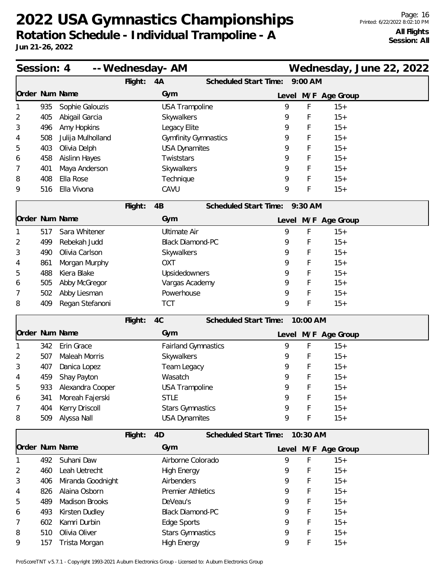| Session: 4     |     |                      |         | -- Wednesday- AM            | Wednesday, June 22, 2022          |  |
|----------------|-----|----------------------|---------|-----------------------------|-----------------------------------|--|
|                |     |                      | Flight: | 4A                          | 9:00 AM<br>Scheduled Start Time:  |  |
|                |     | Order Num Name       |         | Gym                         | M/F Age Group<br>Level            |  |
|                | 935 | Sophie Galouzis      |         | <b>USA Trampoline</b>       | 9<br>F<br>$15+$                   |  |
| 2              | 405 | Abigail Garcia       |         | Skywalkers                  | F<br>$15+$<br>9                   |  |
| 3              | 496 | Amy Hopkins          |         | Legacy Elite                | F<br>$15+$<br>9                   |  |
| 4              | 508 | Julija Mulholland    |         | <b>Gymfinity Gymnastics</b> | F<br>9<br>$15+$                   |  |
| 5              | 403 | Olivia Delph         |         | <b>USA Dynamites</b>        | 9<br>F<br>$15+$                   |  |
| 6              | 458 | <b>Aislinn Hayes</b> |         | Twiststars                  | F<br>9<br>$15+$                   |  |
| 7              | 401 | Maya Anderson        |         | Skywalkers                  | F<br>9<br>$15+$                   |  |
| 8              | 408 | Ella Rose            |         | Technique                   | 9<br>F<br>$15+$                   |  |
| 9              | 516 | Ella Vivona          |         | CAVU                        | F<br>9<br>$15+$                   |  |
|                |     |                      | Flight: | 4B                          | Scheduled Start Time: 9:30 AM     |  |
| Order Num Name |     |                      |         | Gym                         | Level M/F Age Group               |  |
|                | 517 | Sara Whitener        |         | <b>Ultimate Air</b>         | 9<br>F<br>$15+$                   |  |
| 2              | 499 | Rebekah Judd         |         | <b>Black Diamond-PC</b>     | F<br>9<br>$15+$                   |  |
| 3              | 490 | Olivia Carlson       |         | Skywalkers                  | F<br>$15+$<br>9                   |  |
| 4              | 861 | Morgan Murphy        |         | <b>OXT</b>                  | F<br>$15+$<br>9                   |  |
| 5              | 488 | Kiera Blake          |         | Upsidedowners               | F<br>$15+$<br>9                   |  |
| 6              | 505 | Abby McGregor        |         | Vargas Academy              | F<br>9<br>$15+$                   |  |
| 7              | 502 | Abby Liesman         |         | Powerhouse                  | F<br>9<br>$15+$                   |  |
| 8              | 409 | Regan Stefanoni      |         | <b>TCT</b>                  | 9<br>F<br>$15+$                   |  |
|                |     |                      | Flight: | 4C                          | Scheduled Start Time:<br>10:00 AM |  |
|                |     | Order Num Name       |         | Gym                         | Level M/F Age Group               |  |
|                | 342 | Erin Grace           |         | <b>Fairland Gymnastics</b>  | F<br>9<br>$15+$                   |  |
| 2              | 507 | Maleah Morris        |         | Skywalkers                  | F<br>$15+$<br>9                   |  |
| 3              | 407 | Danica Lopez         |         | Team Legacy                 | F<br>$15+$<br>9                   |  |
| 4              | 459 | Shay Payton          |         | Wasatch                     | F<br>9<br>$15+$                   |  |
| ხ              | 933 | Alexandra Cooper     |         | <b>USA Trampoline</b>       | 9<br>$15+$<br>Ł                   |  |
| 6              | 341 | Moreah Fajerski      |         | <b>STLE</b>                 | $15+$<br>9<br>F                   |  |
| 7              | 404 | Kerry Driscoll       |         | <b>Stars Gymnastics</b>     | 9<br>F<br>$15+$                   |  |
| 8              | 509 | Alyssa Nall          |         | <b>USA Dynamites</b>        | F<br>9<br>$15+$                   |  |
|                |     |                      | Flight: | 4D                          | Scheduled Start Time:<br>10:30 AM |  |
|                |     | Order Num Name       |         | Gym                         | Level M/F Age Group               |  |
|                | 492 | Suhani Daw           |         | Airborne Colorado           | 9<br>F<br>$15+$                   |  |
| 2              | 460 | Leah Uetrecht        |         | <b>High Energy</b>          | $15+$<br>9<br>F                   |  |
| 3              | 406 | Miranda Goodnight    |         | Airbenders                  | 9<br>F<br>$15+$                   |  |
| 4              | 826 | Alaina Osborn        |         | <b>Premier Athletics</b>    | F<br>9<br>$15+$                   |  |
| 5              | 489 | Madison Brooks       |         | DeVeau's                    | 9<br>F<br>$15+$                   |  |
| 6              | 493 | Kirsten Dudley       |         | <b>Black Diamond-PC</b>     | 9<br>F<br>$15+$                   |  |
| 7              | 602 | Kamri Durbin         |         | Edge Sports                 | $15+$<br>9<br>F                   |  |
| 8              | 510 | Olivia Oliver        |         | <b>Stars Gymnastics</b>     | 9<br>F<br>$15+$                   |  |
| 9              | 157 | Trista Morgan        |         | <b>High Energy</b>          | F<br>9<br>$15+$                   |  |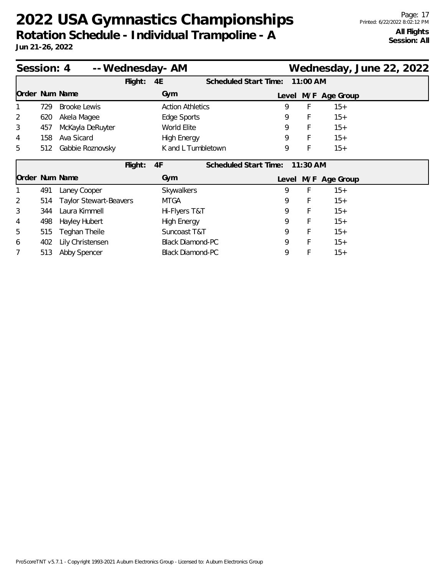| Session: 4     |     |                               |         | -- Wednesday- AM        |                       |       |            |               | Wednesday, June 22, 2022 |  |
|----------------|-----|-------------------------------|---------|-------------------------|-----------------------|-------|------------|---------------|--------------------------|--|
|                |     |                               | Flight: | 4E                      | Scheduled Start Time: |       | 11:00 AM   |               |                          |  |
| Order Num Name |     |                               |         | Gym                     |                       | Level |            | M/F Age Group |                          |  |
|                | 729 | Brooke Lewis                  |         | <b>Action Athletics</b> |                       | 9     | F          | $15+$         |                          |  |
| 2              | 620 | Akela Magee                   |         | Edge Sports             |                       | 9     | F          | $15+$         |                          |  |
| 3              | 457 | McKayla DeRuyter              |         | World Elite             |                       | 9     | F          | $15+$         |                          |  |
| 4              | 158 | Ava Sicard                    |         | <b>High Energy</b>      |                       | 9     | F          | $15+$         |                          |  |
| 5              | 512 | Gabbie Roznovsky              |         | K and L Tumbletown      |                       | 9     | F          | $15+$         |                          |  |
|                |     |                               | Flight: | 4F                      | Scheduled Start Time: |       | $11:30$ AM |               |                          |  |
| Order Num Name |     |                               |         | Gym                     |                       | Level |            | M/F Age Group |                          |  |
|                | 491 | Laney Cooper                  |         | Skywalkers              |                       | 9     | F          | $15+$         |                          |  |
| 2              | 514 | <b>Taylor Stewart-Beavers</b> |         | <b>MTGA</b>             |                       | 9     | F          | $15+$         |                          |  |
| 3              | 344 | Laura Kimmell                 |         | Hi-Flyers T&T           |                       | 9     | F          | $15+$         |                          |  |
| 4              | 498 | Hayley Hubert                 |         | <b>High Energy</b>      |                       | 9     | F          | $15+$         |                          |  |
| 5              | 515 | Teghan Theile                 |         | Suncoast T&T            |                       | 9     | F          | $15+$         |                          |  |
| 6              | 402 | Lily Christensen              |         | <b>Black Diamond-PC</b> |                       | 9     | F          | $15+$         |                          |  |
|                | 513 | Abby Spencer                  |         | <b>Black Diamond-PC</b> |                       | 9     | F          | $15+$         |                          |  |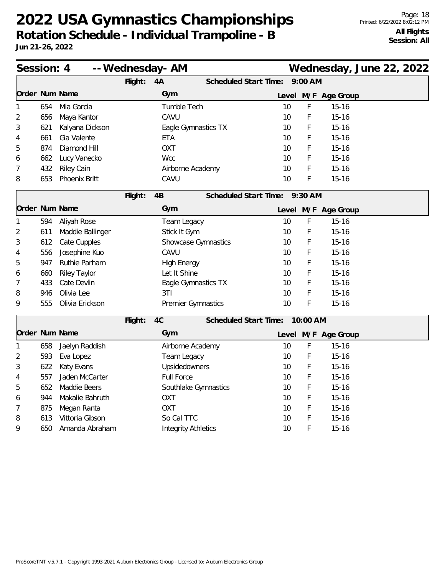| Session: 4 |     |                     | -- Wednesday- AM                               |                            |  |                              |          |                     | Wednesday, June 22, 2022 |  |
|------------|-----|---------------------|------------------------------------------------|----------------------------|--|------------------------------|----------|---------------------|--------------------------|--|
|            |     |                     | Flight:                                        | 4A                         |  | Scheduled Start Time:        | 9:00 AM  |                     |                          |  |
|            |     | Order Num Name      |                                                | Gym                        |  |                              |          | Level M/F Age Group |                          |  |
| 1          | 654 | Mia Garcia          |                                                | Tumble Tech                |  | 10                           | F        | $15 - 16$           |                          |  |
| 2          | 656 | Maya Kantor         |                                                | CAVU                       |  | 10                           | F        | $15 - 16$           |                          |  |
| 3          | 621 | Kalyana Dickson     |                                                | Eagle Gymnastics TX        |  | 10                           | F        | $15 - 16$           |                          |  |
| 4          | 661 | Gia Valente         |                                                | <b>ETA</b>                 |  | 10                           | F        | $15 - 16$           |                          |  |
| 5          | 874 | Diamond Hill        |                                                | <b>OXT</b>                 |  |                              | F        | $15 - 16$           |                          |  |
| 6          | 662 | Lucy Vanecko        | <b>Wcc</b>                                     |                            |  | 10                           | F        | $15 - 16$           |                          |  |
| 7          | 432 | <b>Riley Cain</b>   | Airborne Academy                               |                            |  | 10                           | F        | $15 - 16$           |                          |  |
| 8          | 653 | Phoenix Britt       | CAVU                                           |                            |  | 10                           | F        | $15 - 16$           |                          |  |
|            |     |                     | Flight:<br>4B<br>Scheduled Start Time: 9:30 AM |                            |  |                              |          |                     |                          |  |
|            |     | Order Num Name      |                                                | Gym                        |  |                              |          | Level M/F Age Group |                          |  |
| 1          | 594 | Aliyah Rose         |                                                | Team Legacy                |  | 10                           | F        | $15 - 16$           |                          |  |
| 2          | 611 | Maddie Ballinger    |                                                | Stick It Gym               |  | 10                           | F        | $15 - 16$           |                          |  |
| 3          | 612 | Cate Cupples        |                                                | Showcase Gymnastics        |  | 10                           | F        | $15 - 16$           |                          |  |
| 4          | 556 | Josephine Kuo       |                                                | CAVU                       |  | 10                           | F        | $15 - 16$           |                          |  |
| 5          | 947 | Ruthie Parham       |                                                | <b>High Energy</b>         |  | 10                           | F        | $15 - 16$           |                          |  |
| 6          | 660 | <b>Riley Taylor</b> |                                                | Let It Shine               |  | 10                           | F        | $15 - 16$           |                          |  |
| 7          | 433 | Cate Devlin         |                                                | Eagle Gymnastics TX        |  | 10                           | F        | $15 - 16$           |                          |  |
| 8          | 946 | Olivia Lee          |                                                | 3T1                        |  | 10                           | F        | $15 - 16$           |                          |  |
| 9          | 555 | Olivia Erickson     |                                                | Premier Gymnastics         |  | 10                           | F        | $15 - 16$           |                          |  |
|            |     |                     | Flight:                                        | 4C                         |  | <b>Scheduled Start Time:</b> | 10:00 AM |                     |                          |  |
|            |     | Order Num Name      |                                                | Gym                        |  |                              |          | Level M/F Age Group |                          |  |
| 1          | 658 | Jaelyn Raddish      |                                                | Airborne Academy           |  | 10                           | F        | $15 - 16$           |                          |  |
| 2          | 593 | Eva Lopez           |                                                | Team Legacy                |  | 10                           | F        | $15 - 16$           |                          |  |
| 3          | 622 | Katy Evans          |                                                | Upsidedowners              |  | 10                           | F        | $15 - 16$           |                          |  |
| 4          | 557 | Jaden McCarter      | <b>Full Force</b>                              |                            |  | 10                           | F        | $15 - 16$           |                          |  |
| 5          | 652 | Maddie Beers        | Southlake Gymnastics                           |                            |  | 10                           | F        | $15 - 16$           |                          |  |
| 6          | 944 | Makalie Bahruth     | <b>OXT</b>                                     |                            |  | 10                           | F        | $15 - 16$           |                          |  |
| 7          | 875 | Megan Ranta         | <b>OXT</b>                                     |                            |  | 10                           | F        | $15 - 16$           |                          |  |
| 8          | 613 | Vittoria Gibson     | So Cal TTC                                     |                            |  | 10                           | F        | $15 - 16$           |                          |  |
| 9          | 650 | Amanda Abraham      |                                                | <b>Integrity Athletics</b> |  |                              | F        | $15 - 16$           |                          |  |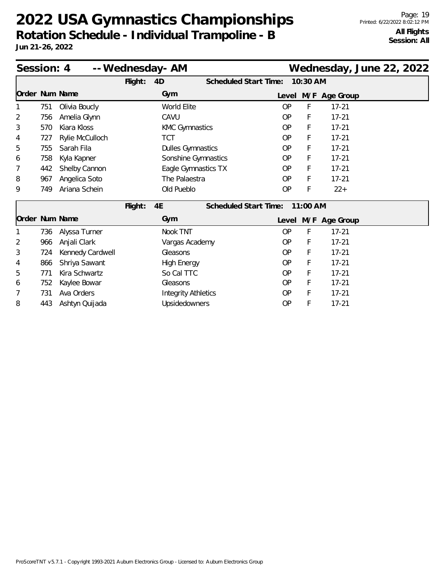| Session: 4     |     |                  |         | -- Wednesday- AM           |                              |           |          | Wednesday, June 22, 2022 |  |  |
|----------------|-----|------------------|---------|----------------------------|------------------------------|-----------|----------|--------------------------|--|--|
|                |     |                  | Flight: | 4D                         | Scheduled Start Time:        |           | 10:30 AM |                          |  |  |
| Order Num Name |     |                  |         | Gym                        |                              |           |          | Level M/F Age Group      |  |  |
|                | 751 | Olivia Boucly    |         | <b>World Elite</b>         |                              | OP        | F        | $17 - 21$                |  |  |
| 2              | 756 | Amelia Glynn     |         | CAVU                       |                              | <b>OP</b> | F        | $17 - 21$                |  |  |
| 3              | 570 | Kiara Kloss      |         | <b>KMC Gymnastics</b>      |                              | <b>OP</b> | F        | $17 - 21$                |  |  |
| 4              | 727 | Rylie McCulloch  |         | TCT                        |                              | OP        | F        | $17 - 21$                |  |  |
| 5              | 755 | Sarah Fila       |         | <b>Dulles Gymnastics</b>   |                              | <b>OP</b> | F        | $17 - 21$                |  |  |
| 6              | 758 | Kyla Kapner      |         | Sonshine Gymnastics        |                              | <b>OP</b> | F        | $17 - 21$                |  |  |
| 7              | 442 | Shelby Cannon    |         | Eagle Gymnastics TX        |                              | <b>OP</b> | F        | $17 - 21$                |  |  |
| 8              | 967 | Angelica Soto    |         | The Palaestra              |                              | <b>OP</b> | F        | $17 - 21$                |  |  |
| 9              | 749 | Ariana Schein    |         | Old Pueblo                 |                              | <b>OP</b> | F        | $22+$                    |  |  |
|                |     |                  | Flight: | 4E                         | <b>Scheduled Start Time:</b> |           | 11:00 AM |                          |  |  |
| Order Num Name |     |                  |         | Gym                        |                              |           |          | Level M/F Age Group      |  |  |
|                | 736 | Alyssa Turner    |         | Nook TNT                   |                              | OP        | F        | $17 - 21$                |  |  |
| 2              | 966 | Anjali Clark     |         | Vargas Academy             |                              | <b>OP</b> | F        | $17 - 21$                |  |  |
| 3              | 724 | Kennedy Cardwell |         | Gleasons                   |                              | OP        | F        | $17 - 21$                |  |  |
| 4              | 866 | Shriya Sawant    |         | <b>High Energy</b>         |                              | <b>OP</b> | F        | $17 - 21$                |  |  |
| 5              | 771 | Kira Schwartz    |         | So Cal TTC                 |                              | <b>OP</b> | F        | $17 - 21$                |  |  |
| 6              | 752 | Kaylee Bowar     |         | Gleasons                   |                              | <b>OP</b> | F        | $17 - 21$                |  |  |
| 7              | 731 | Ava Orders       |         | <b>Integrity Athletics</b> |                              | <b>OP</b> | F        | $17 - 21$                |  |  |
| 8              | 443 | Ashtyn Quijada   |         | Upsidedowners              |                              | <b>OP</b> | F        | $17 - 21$                |  |  |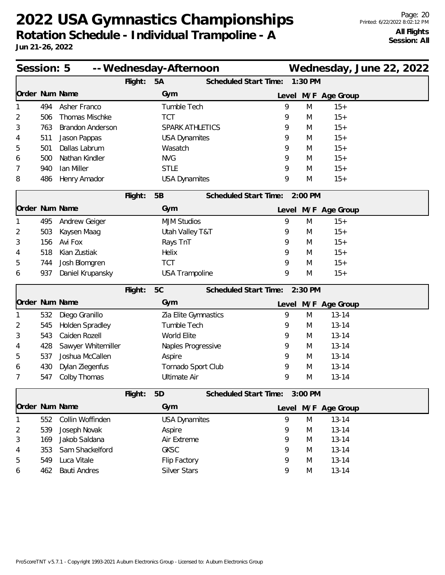| Session: 5     |     |                         | -- Wednesday-Afternoon |                        |                              |       | Wednesday, June 22, 2022 |                     |  |  |
|----------------|-----|-------------------------|------------------------|------------------------|------------------------------|-------|--------------------------|---------------------|--|--|
|                |     |                         | Flight:                | 5A                     | <b>Scheduled Start Time:</b> |       | 1:30 PM                  |                     |  |  |
| Order Num Name |     |                         |                        | Gym                    |                              | Level |                          | M/F Age Group       |  |  |
|                | 494 | Asher Franco            |                        | Tumble Tech            |                              | 9     | M                        | $15+$               |  |  |
| 2              | 506 | Thomas Mischke          |                        | <b>TCT</b>             |                              | 9     | M                        | $15+$               |  |  |
| 3              | 763 | <b>Brandon Anderson</b> |                        | <b>SPARK ATHLETICS</b> |                              | 9     | M                        | $15+$               |  |  |
| 4              | 511 | Jason Pappas            |                        | <b>USA Dynamites</b>   |                              | 9     | M                        | $15+$               |  |  |
| 5              | 501 | Dallas Labrum           |                        | Wasatch                |                              | 9     | M                        | $15+$               |  |  |
| 6              | 500 | Nathan Kindler          |                        | <b>NVG</b>             |                              | 9     | M                        | $15+$               |  |  |
| 7              | 940 | lan Miller              |                        | <b>STLE</b>            |                              | 9     | M                        | $15+$               |  |  |
| 8              | 486 | Henry Amador            |                        | <b>USA Dynamites</b>   |                              | 9     | M                        | $15+$               |  |  |
|                |     |                         | Flight:                | 5B                     | Scheduled Start Time:        |       | 2:00 PM                  |                     |  |  |
| Order Num Name |     |                         |                        | Gym                    |                              |       |                          | Level M/F Age Group |  |  |
|                | 495 | Andrew Geiger           |                        | <b>MJM Studios</b>     |                              | 9     | M                        | $15+$               |  |  |
| 2              | 503 | Kaysen Maag             |                        | Utah Valley T&T        |                              | 9     | M                        | $15+$               |  |  |
| 3              | 156 | Avi Fox                 |                        | Rays TnT               |                              | 9     | M                        | $15+$               |  |  |
| 4              | 518 | Kian Zustiak            |                        | Helix                  |                              | 9     | M                        | $15+$               |  |  |
| 5              | 744 | Josh Blomgren           |                        | <b>TCT</b>             |                              | 9     | M                        | $15+$               |  |  |
| 6              | 937 | Daniel Krupansky        |                        | <b>USA Trampoline</b>  |                              | 9     | M                        | $15+$               |  |  |
|                |     |                         | Flight:                | 5C                     | Scheduled Start Time:        |       | $2:30$ PM                |                     |  |  |
| Order Num Name |     |                         |                        | Gym                    |                              |       |                          | Level M/F Age Group |  |  |
|                | 532 | Diego Granillo          |                        | Zia Elite Gymnastics   |                              | 9     | M                        | $13 - 14$           |  |  |
| 2              | 545 | Holden Spradley         |                        | Tumble Tech            |                              | 9     | M                        | $13 - 14$           |  |  |
| 3              | 543 | Caiden Rozell           |                        | World Elite            |                              | 9     | M                        | $13 - 14$           |  |  |
| 4              | 428 | Sawyer Whitemiller      |                        | Naples Progressive     |                              | 9     | M                        | $13 - 14$           |  |  |
| 5              | 537 | Joshua McCallen         |                        | Aspire                 |                              | 9     | M                        | $13 - 14$           |  |  |
| 6              | 430 | Dylan Ziegenfus         |                        | Tornado Sport Club     |                              | 9     | M                        | $13 - 14$           |  |  |
| 7              | 547 | Colby Thomas            |                        | <b>Ultimate Air</b>    |                              | 9     | M                        | $13 - 14$           |  |  |
|                |     |                         | Flight:                | 5D                     | Scheduled Start Time:        |       | 3:00 PM                  |                     |  |  |
| Order Num Name |     |                         |                        | Gym                    |                              |       |                          | Level M/F Age Group |  |  |
|                | 552 | Collin Woffinden        |                        | <b>USA Dynamites</b>   |                              | 9     | M                        | $13 - 14$           |  |  |
| 2              | 539 | Joseph Novak            |                        | Aspire                 |                              | 9     | M                        | $13 - 14$           |  |  |
| 3              | 169 | Jakob Saldana           |                        | Air Extreme            |                              | 9     | M                        | $13 - 14$           |  |  |
| 4              | 353 | Sam Shackelford         |                        | <b>GKSC</b>            |                              | 9     | M                        | $13 - 14$           |  |  |
| 5              | 549 | Luca Vitale             |                        | Flip Factory           |                              | 9     | M                        | $13 - 14$           |  |  |
| 6              | 462 | <b>Bauti Andres</b>     |                        | <b>Silver Stars</b>    |                              | 9     | M                        | $13 - 14$           |  |  |
|                |     |                         |                        |                        |                              |       |                          |                     |  |  |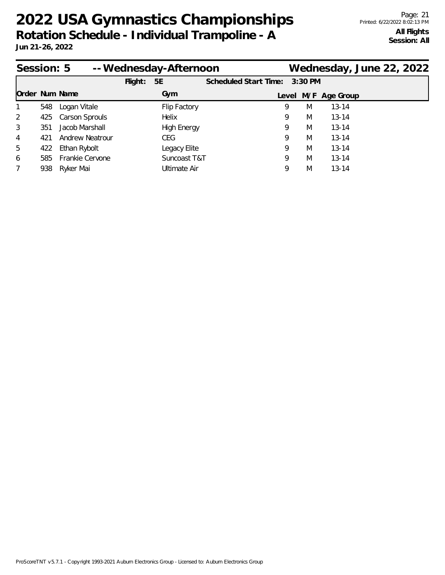| Session: 5     |     |                        |         | -- Wednesday-Afternoon |                       |           |                     | Wednesday, June 22, 2022 |
|----------------|-----|------------------------|---------|------------------------|-----------------------|-----------|---------------------|--------------------------|
|                |     |                        | Flight: | 5E                     | Scheduled Start Time: | $3:30$ PM |                     |                          |
| Order Num Name |     |                        |         | Gym                    |                       |           | Level M/F Age Group |                          |
|                | 548 | Logan Vitale           |         | Flip Factory           | 9                     | M         | $13 - 14$           |                          |
| $\overline{2}$ | 425 | <b>Carson Sprouls</b>  |         | Helix                  | 9                     | M         | $13 - 14$           |                          |
| 3              | 351 | Jacob Marshall         |         | <b>High Energy</b>     | 9                     | M         | $13 - 14$           |                          |
| 4              | 421 | <b>Andrew Neatrour</b> |         | CEG.                   | 9                     | M         | $13 - 14$           |                          |
| 5              | 422 | Ethan Rybolt           |         | Legacy Elite           | 9                     | M         | $13 - 14$           |                          |
| 6              | 585 | Frankie Cervone        |         | Suncoast T&T           | 9                     | M         | $13 - 14$           |                          |
| 7              | 938 | Ryker Mai              |         | Ultimate Air           | 9                     | M         | $13 - 14$           |                          |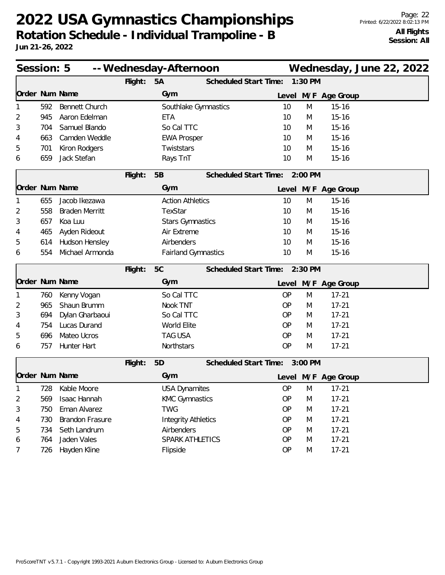|                | Session: 5<br>-- Wednesday-Afternoon |                        |         |                            |                               |           |         |                     | Wednesday, June 22, 2022 |  |
|----------------|--------------------------------------|------------------------|---------|----------------------------|-------------------------------|-----------|---------|---------------------|--------------------------|--|
|                |                                      |                        | Flight: | 5A                         | Scheduled Start Time:         |           | 1:30 PM |                     |                          |  |
| Order Num Name |                                      |                        |         | Gym                        |                               |           |         | Level M/F Age Group |                          |  |
| 1              | 592                                  | <b>Bennett Church</b>  |         | Southlake Gymnastics       |                               | 10        | M       | $15 - 16$           |                          |  |
| 2              | 945                                  | Aaron Edelman          |         | ETA                        |                               | 10        | M       | $15 - 16$           |                          |  |
| 3              | 704                                  | Samuel Blando          |         | So Cal TTC                 |                               | 10        | M       | $15 - 16$           |                          |  |
| 4              | 663                                  | Camden Weddle          |         | <b>EWA Prosper</b>         |                               | 10        | M       | $15 - 16$           |                          |  |
| 5              | 701                                  | Kiron Rodgers          |         | Twiststars                 |                               | 10        | M       | $15 - 16$           |                          |  |
| 6              | 659                                  | Jack Stefan            |         | Rays TnT                   |                               | 10        | M       | $15 - 16$           |                          |  |
|                |                                      |                        | Flight: | 5B                         | Scheduled Start Time: 2:00 PM |           |         |                     |                          |  |
| Order Num Name |                                      |                        |         | Gym                        |                               |           |         | Level M/F Age Group |                          |  |
| 1              | 655                                  | Jacob Ikezawa          |         | <b>Action Athletics</b>    |                               | 10        | M       | $15 - 16$           |                          |  |
| 2              | 558                                  | <b>Braden Merritt</b>  |         | TexStar                    |                               | 10        | M       | $15 - 16$           |                          |  |
| 3              | 657                                  | Koa Luu                |         | <b>Stars Gymnastics</b>    |                               | 10        | M       | $15 - 16$           |                          |  |
| 4              | 465                                  | Ayden Rideout          |         | Air Extreme                |                               | 10        | M       | $15 - 16$           |                          |  |
| 5              | 614                                  | Hudson Hensley         |         | Airbenders                 |                               | 10        | M       | $15 - 16$           |                          |  |
| 6              | 554                                  | Michael Armonda        |         | <b>Fairland Gymnastics</b> |                               | 10        | M       | $15 - 16$           |                          |  |
|                |                                      |                        | Flight: | 5C                         | Scheduled Start Time: 2:30 PM |           |         |                     |                          |  |
| Order Num Name |                                      |                        |         | Gym                        |                               |           |         | Level M/F Age Group |                          |  |
|                | 760                                  | Kenny Vogan            |         | So Cal TTC                 |                               | <b>OP</b> | M       | $17 - 21$           |                          |  |
| 2              | 965                                  | Shaun Brumm            |         | Nook TNT                   |                               | OP        | M       | $17 - 21$           |                          |  |
| 3              | 694                                  | Dylan Gharbaoui        |         | So Cal TTC                 |                               | OP        | M       | $17 - 21$           |                          |  |
| 4              | 754                                  | Lucas Durand           |         | World Elite                |                               | OP        | M       | $17 - 21$           |                          |  |
| 5              | 696                                  | Mateo Ucros            |         | <b>TAG USA</b>             |                               | OP        | M       | $17 - 21$           |                          |  |
| 6              | 757                                  | Hunter Hart            |         | Northstars                 |                               | OP        | M       | $17 - 21$           |                          |  |
|                |                                      |                        | Flight: | 5D                         | Scheduled Start Time: 3:00 PM |           |         |                     |                          |  |
| Order Num Name |                                      |                        |         | Gym                        |                               |           |         | Level M/F Age Group |                          |  |
| $\mathbf{1}$   | 728                                  | Kable Moore            |         | <b>USA Dynamites</b>       |                               | OP        | M       | $17 - 21$           |                          |  |
| 2              | 569                                  | Isaac Hannah           |         | <b>KMC Gymnastics</b>      |                               | OP        | M       | $17 - 21$           |                          |  |
| 3              | 750                                  | Eman Alvarez           |         | <b>TWG</b>                 |                               | OP        | M       | $17 - 21$           |                          |  |
| 4              | 730                                  | <b>Brandon Frasure</b> |         | <b>Integrity Athletics</b> |                               | OP        | M       | $17 - 21$           |                          |  |
| 5              | 734                                  | Seth Landrum           |         | Airbenders                 |                               | OP        | M       | $17 - 21$           |                          |  |
| 6              | 764                                  | Jaden Vales            |         | SPARK ATHLETICS            |                               | OP        | M       | $17 - 21$           |                          |  |
| 7              | 726                                  | Hayden Kline           |         | Flipside                   |                               | OP        | M       | $17 - 21$           |                          |  |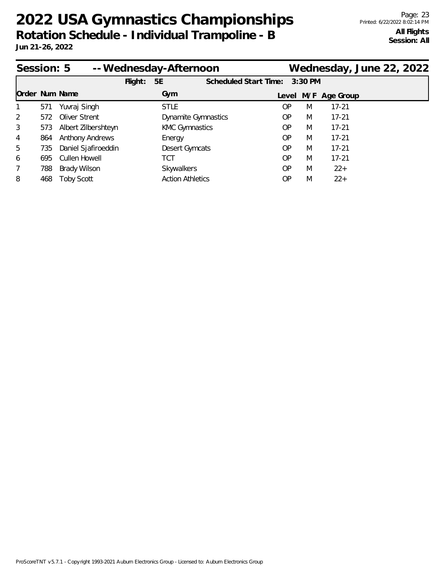|                | Session: 5 |                        |         | -- Wednesday-Afternoon  |                            |           |           |   | Wednesday, June 22, 2022 |  |  |
|----------------|------------|------------------------|---------|-------------------------|----------------------------|-----------|-----------|---|--------------------------|--|--|
|                |            |                        | Flight: | 5E                      | Scheduled Start Time:      |           | $3:30$ PM |   |                          |  |  |
| Order Num Name |            |                        |         | Gym                     |                            |           |           |   | Level M/F Age Group      |  |  |
| $\mathbf{1}$   | 571        | Yuvraj Singh           |         | <b>STLE</b>             |                            | <b>OP</b> |           | M | $17 - 21$                |  |  |
| 2              | 572        | Oliver Strent          |         |                         | <b>Dynamite Gymnastics</b> | <b>OP</b> |           | M | $17 - 21$                |  |  |
| 3              | 573        | Albert Zilbershteyn    |         | <b>KMC Gymnastics</b>   |                            | <b>OP</b> |           | M | $17 - 21$                |  |  |
| 4              | 864        | <b>Anthony Andrews</b> |         | Energy                  |                            | OP.       |           | M | $17 - 21$                |  |  |
| 5              | 735        | Daniel Sjafiroeddin    |         | Desert Gymcats          |                            | OP        |           | M | $17 - 21$                |  |  |
| 6              | 695        | Cullen Howell          |         | TCT                     |                            | <b>OP</b> |           | M | $17 - 21$                |  |  |
| 7              | 788        | <b>Brady Wilson</b>    |         | Skywalkers              |                            | <b>OP</b> |           | M | $22+$                    |  |  |
| 8              | 468        | <b>Toby Scott</b>      |         | <b>Action Athletics</b> |                            | ΟP        |           | M | $22+$                    |  |  |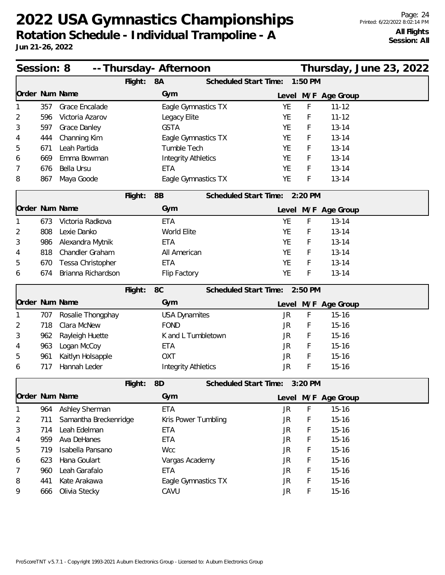| Session: 8 |     |                       |         | -- Thursday- Afternoon |                            |                               |           |           |                     | Thursday, June 23, 2022 |  |
|------------|-----|-----------------------|---------|------------------------|----------------------------|-------------------------------|-----------|-----------|---------------------|-------------------------|--|
|            |     |                       | Flight: | 8A                     |                            | Scheduled Start Time:         |           | $1:50$ PM |                     |                         |  |
|            |     | Order Num Name        |         | Gym                    |                            |                               |           |           | Level M/F Age Group |                         |  |
|            | 357 | Grace Encalade        |         |                        | Eagle Gymnastics TX        |                               | <b>YE</b> | F         | $11 - 12$           |                         |  |
| 2          | 596 | Victoria Azarov       |         | Legacy Elite           |                            |                               | YE        | F         | $11 - 12$           |                         |  |
| 3          | 597 | Grace Danley          |         | <b>GSTA</b>            |                            |                               | YE        | F         | $13 - 14$           |                         |  |
| 4          | 444 | Channing Kim          |         |                        | Eagle Gymnastics TX        |                               | <b>YE</b> | F         | $13 - 14$           |                         |  |
| 5          | 671 | Leah Partida          |         | Tumble Tech            |                            |                               | <b>YE</b> | F         | $13 - 14$           |                         |  |
| 6          | 669 | Emma Bowman           |         |                        | <b>Integrity Athletics</b> |                               | YE        | F         | $13 - 14$           |                         |  |
| 7          | 676 | Bella Ursu            |         | <b>ETA</b>             |                            |                               | <b>YE</b> | F         | $13 - 14$           |                         |  |
| 8          | 867 | Maya Goode            |         |                        | Eagle Gymnastics TX        |                               | YE        | F         | $13 - 14$           |                         |  |
|            |     |                       | Flight: | 8B                     |                            | Scheduled Start Time: 2:20 PM |           |           |                     |                         |  |
|            |     | Order Num Name        |         | Gym                    |                            |                               |           |           | Level M/F Age Group |                         |  |
| 1          | 673 | Victoria Radkova      |         | <b>ETA</b>             |                            |                               | <b>YE</b> | F         | $13 - 14$           |                         |  |
| 2          | 808 | Lexie Danko           |         | World Elite            |                            |                               | <b>YE</b> | F         | $13 - 14$           |                         |  |
| 3          | 986 | Alexandra Mytnik      |         | <b>ETA</b>             |                            |                               | <b>YE</b> | F         | $13 - 14$           |                         |  |
| 4          | 818 | Chandler Graham       |         | All American           |                            |                               | YE        | F         | $13 - 14$           |                         |  |
| 5          | 670 | Tessa Christopher     |         | <b>ETA</b>             |                            |                               | YE        | F         | $13 - 14$           |                         |  |
| 6          | 674 | Brianna Richardson    |         | Flip Factory           |                            |                               | YE        | F         | $13 - 14$           |                         |  |
|            |     |                       | Flight: | 8C                     |                            | Scheduled Start Time: 2:50 PM |           |           |                     |                         |  |
|            |     | Order Num Name        |         | Gym                    |                            |                               |           |           | Level M/F Age Group |                         |  |
| 1          | 707 | Rosalie Thongphay     |         | <b>USA Dynamites</b>   |                            |                               | JR.       | F         | $15 - 16$           |                         |  |
| 2          | 718 | Clara McNew           |         | <b>FOND</b>            |                            |                               | JR        | F         | $15 - 16$           |                         |  |
| 3          | 962 | Rayleigh Huette       |         |                        | K and L Tumbletown         |                               | JR        | F         | $15 - 16$           |                         |  |
| 4          | 963 | Logan McCoy           |         | <b>ETA</b>             |                            |                               | JR        | F         | $15 - 16$           |                         |  |
| 5          | 961 | Kaitlyn Holsapple     |         | <b>OXT</b>             |                            |                               | JR.       | F         | $15 - 16$           |                         |  |
| 6          | 717 | Hannah Leder          |         |                        | <b>Integrity Athletics</b> |                               | <b>JR</b> | F         | $15 - 16$           |                         |  |
|            |     |                       | Flight: | 8D                     |                            | Scheduled Start Time:         |           | 3:20 PM   |                     |                         |  |
|            |     | Order Num Name        |         | Gym                    |                            |                               |           |           | Level M/F Age Group |                         |  |
|            | 964 | Ashley Sherman        |         | <b>ETA</b>             |                            |                               | <b>JR</b> | F         | $15 - 16$           |                         |  |
| 2          | 711 | Samantha Breckenridge |         |                        | Kris Power Tumbling        |                               | <b>JR</b> | F         | $15 - 16$           |                         |  |
| 3          | 714 | Leah Edelman          |         | <b>ETA</b>             |                            |                               | JR        | F         | $15 - 16$           |                         |  |
| 4          | 959 | Ava DeHanes           |         | <b>ETA</b>             |                            |                               | <b>JR</b> | F         | $15 - 16$           |                         |  |
| 5          | 719 | Isabella Pansano      |         | Wcc                    |                            |                               | <b>JR</b> | F         | $15 - 16$           |                         |  |
| 6          | 623 | Hana Goulart          |         |                        | Vargas Academy             |                               | JR        | F         | $15 - 16$           |                         |  |
| 7          | 960 | Leah Garafalo         |         | <b>ETA</b>             |                            |                               | JR        | F         | $15 - 16$           |                         |  |
| 8          | 441 | Kate Arakawa          |         |                        | Eagle Gymnastics TX        |                               | JR        | F         | $15 - 16$           |                         |  |
| 9          | 666 | Olivia Stecky         |         | CAVU                   |                            |                               | JR        | F         | $15 - 16$           |                         |  |
|            |     |                       |         |                        |                            |                               |           |           |                     |                         |  |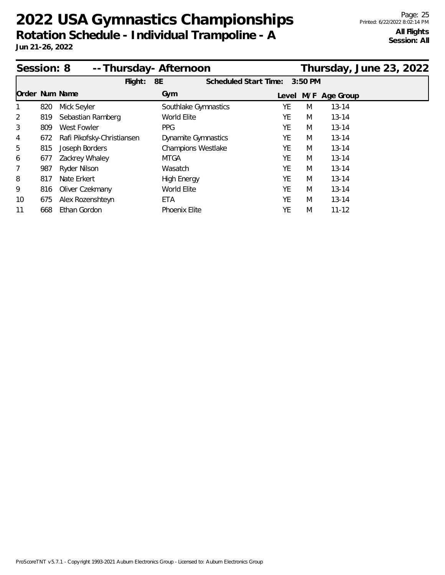| Session: 8     |     | -- Thursday- Afternoon     | Thursday, June 23, 2022    |                              |         |                     |  |
|----------------|-----|----------------------------|----------------------------|------------------------------|---------|---------------------|--|
|                |     | $F$ light:                 | 8E                         | <b>Scheduled Start Time:</b> | 3:50 PM |                     |  |
| Order Num Name |     |                            | Gym                        |                              |         | Level M/F Age Group |  |
|                | 820 | Mick Seyler                | Southlake Gymnastics       | YE                           | M       | $13 - 14$           |  |
| 2              | 819 | Sebastian Ramberg          | World Elite                | YE                           | M       | $13 - 14$           |  |
| 3              | 809 | West Fowler                | <b>PPG</b>                 | YE                           | M       | $13 - 14$           |  |
| 4              | 672 | Rafi Pikofsky-Christiansen | <b>Dynamite Gymnastics</b> | YE                           | M       | $13 - 14$           |  |
| 5              | 815 | Joseph Borders             | Champions Westlake         | YE                           | M       | $13 - 14$           |  |
| 6              | 677 | Zackrey Whaley             | MTGA                       | YE                           | M       | $13 - 14$           |  |
| 7              | 987 | Ryder Nilson               | Wasatch                    | YE                           | M       | $13 - 14$           |  |
| 8              | 817 | Nate Erkert                | <b>High Energy</b>         | YE                           | M       | $13 - 14$           |  |
| 9              | 816 | Oliver Czekmany            | World Elite                | YE                           | M       | $13 - 14$           |  |
| 10             | 675 | Alex Rozenshteyn           | ETA                        | YE                           | M       | $13 - 14$           |  |
| 11             | 668 | Ethan Gordon               | <b>Phoenix Elite</b>       | YE                           | M       | $11 - 12$           |  |